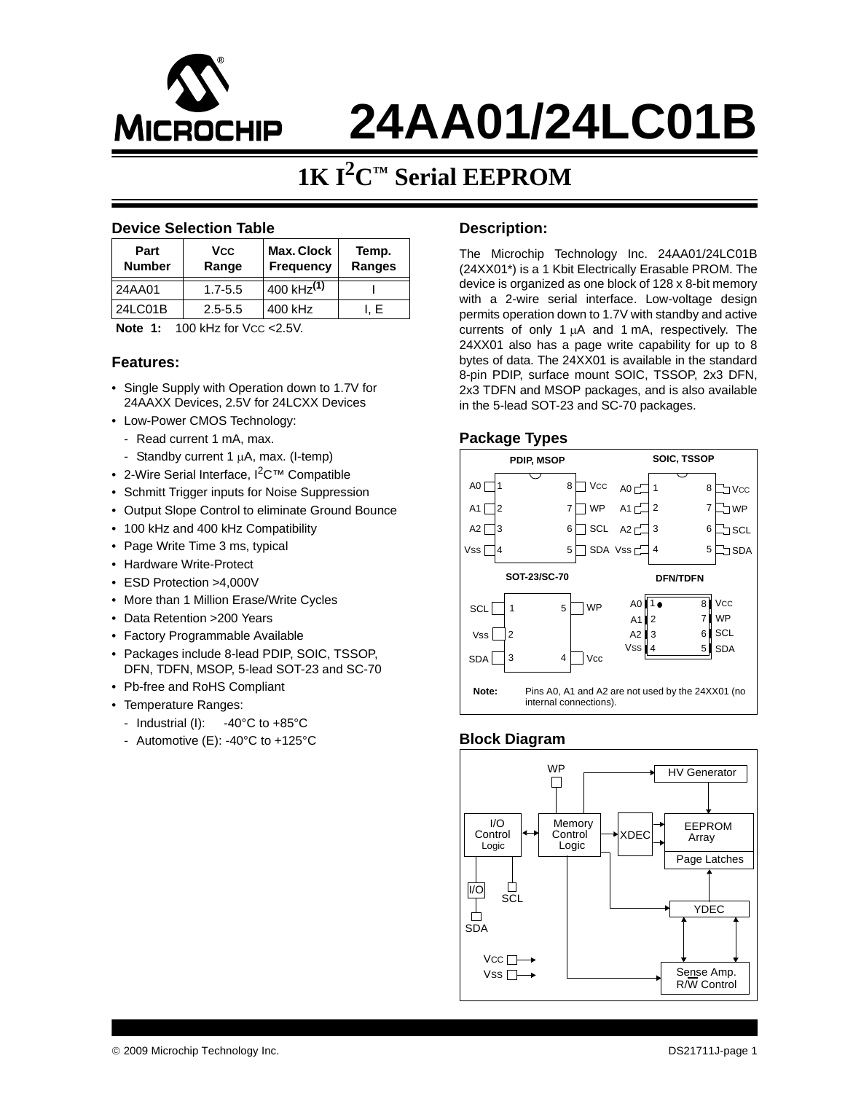

# **24AA01/24LC01B**

# **1K I2C™ Serial EEPROM**

### **Device Selection Table**

| Part<br><b>Number</b> | <b>VCC</b><br>Range | Max. Clock<br><b>Frequency</b> | Temp.<br>Ranges |
|-----------------------|---------------------|--------------------------------|-----------------|
| 24AA01                | $1.7 - 5.5$         | 400 kHz <sup>(1)</sup>         |                 |
| 24LC01B               | $2.5 - 5.5$         | 400 kHz                        | I. E            |

### **Note 1:** 100 kHz for Vcc < 2.5V.

### **Features:**

- Single Supply with Operation down to 1.7V for 24AAXX Devices, 2.5V for 24LCXX Devices
- Low-Power CMOS Technology:
	- Read current 1 mA, max.
	- Standby current 1  $\mu$ A, max. (I-temp)
- 2-Wire Serial Interface, I<sup>2</sup>C<sup>™</sup> Compatible
- Schmitt Trigger inputs for Noise Suppression
- Output Slope Control to eliminate Ground Bounce
- 100 kHz and 400 kHz Compatibility
- Page Write Time 3 ms, typical
- Hardware Write-Protect
- ESD Protection >4,000V
- More than 1 Million Erase/Write Cycles
- Data Retention >200 Years
- Factory Programmable Available
- Packages include 8-lead PDIP, SOIC, TSSOP, DFN, TDFN, MSOP, 5-lead SOT-23 and SC-70
- Pb-free and RoHS Compliant
- Temperature Ranges:
- Industrial (I):  $-40^{\circ}$ C to  $+85^{\circ}$ C
- Automotive (E): -40°C to +125°C

### **Description:**

The Microchip Technology Inc. 24AA01/24LC01B (24XX01\*) is a 1 Kbit Electrically Erasable PROM. The device is organized as one block of 128 x 8-bit memory with a 2-wire serial interface. Low-voltage design permits operation down to 1.7V with standby and active currents of only 1 μA and 1 mA, respectively. The 24XX01 also has a page write capability for up to 8 bytes of data. The 24XX01 is available in the standard 8-pin PDIP, surface mount SOIC, TSSOP, 2x3 DFN, 2x3 TDFN and MSOP packages, and is also available in the 5-lead SOT-23 and SC-70 packages.

### **Package Types**



### **Block Diagram**

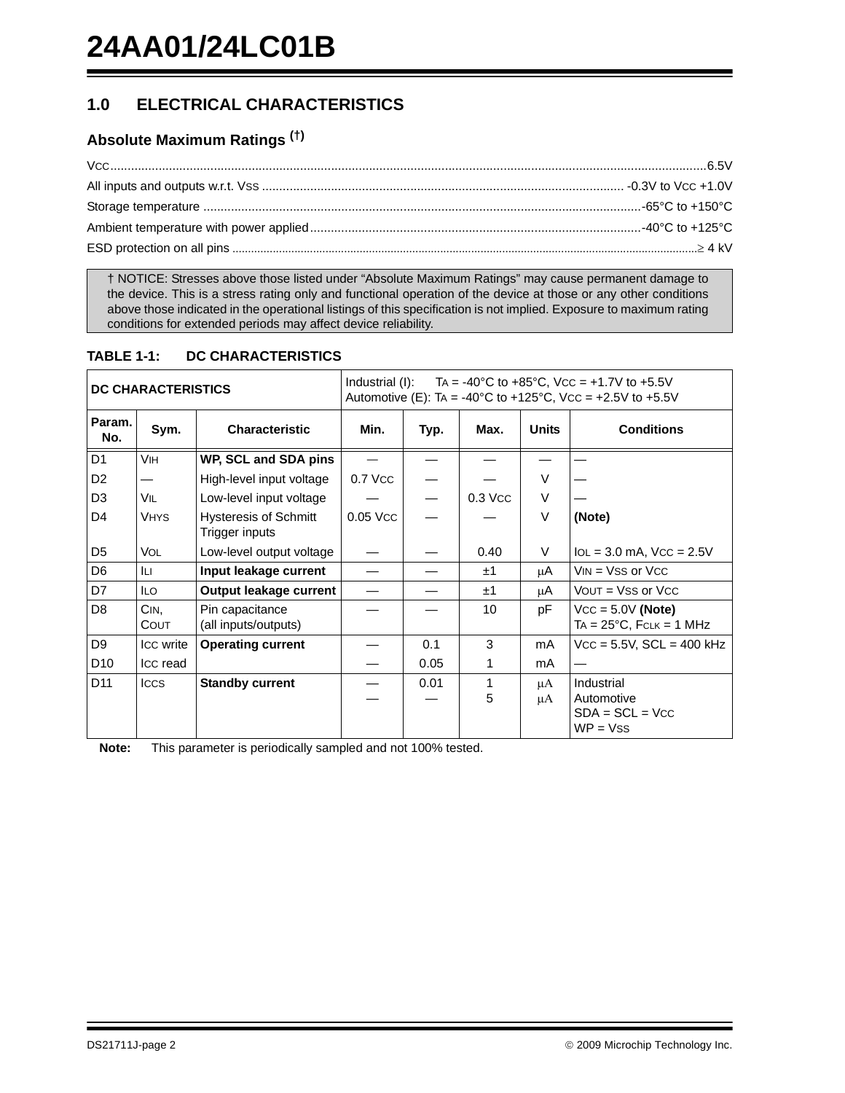# **1.0 ELECTRICAL CHARACTERISTICS**

# **Absolute Maximum Ratings (†)**

† NOTICE: Stresses above those listed under "Absolute Maximum Ratings" may cause permanent damage to the device. This is a stress rating only and functional operation of the device at those or any other conditions above those indicated in the operational listings of this specification is not implied. Exposure to maximum rating conditions for extended periods may affect device reliability.

### **TABLE 1-1: DC CHARACTERISTICS**

| <b>DC CHARACTERISTICS</b> |              |                                                | Industrial (I): $TA = -40^{\circ}C$ to $+85^{\circ}C$ , Vcc = $+1.7V$ to $+5.5V$<br>Automotive (E): TA = -40°C to +125°C, Vcc = +2.5V to +5.5V |      |           |              |                                                             |  |
|---------------------------|--------------|------------------------------------------------|------------------------------------------------------------------------------------------------------------------------------------------------|------|-----------|--------------|-------------------------------------------------------------|--|
| Param.<br>No.             | Sym.         | <b>Characteristic</b>                          | Min.                                                                                                                                           | Typ. | Max.      | <b>Units</b> | <b>Conditions</b>                                           |  |
| D <sub>1</sub>            | Vін          | WP, SCL and SDA pins                           |                                                                                                                                                |      |           |              |                                                             |  |
| D <sub>2</sub>            |              | High-level input voltage                       | 0.7 Vcc                                                                                                                                        |      |           | $\vee$       |                                                             |  |
| D <sub>3</sub>            | VIL          | Low-level input voltage                        |                                                                                                                                                |      | $0.3$ Vcc | V            |                                                             |  |
| D <sub>4</sub>            | <b>VHYS</b>  | <b>Hysteresis of Schmitt</b><br>Trigger inputs | 0.05 Vcc                                                                                                                                       |      |           | V            | (Note)                                                      |  |
| D5                        | <b>VOL</b>   | Low-level output voltage                       |                                                                                                                                                |      | 0.40      | V            | $IoL = 3.0$ mA, $VCC = 2.5V$                                |  |
| D <sub>6</sub>            | Iц           | Input leakage current                          |                                                                                                                                                |      | ±1        | μA           | $VIN = VSS$ or $VCC$                                        |  |
| D7                        | <b>ILO</b>   | Output leakage current                         |                                                                                                                                                |      | ±1        | μA           | $VOUT = VSS$ or $VCC$                                       |  |
| D <sub>8</sub>            | CIN.<br>COUT | Pin capacitance<br>(all inputs/outputs)        |                                                                                                                                                |      | 10        | pF           | $VCC = 5.0V (Note)$<br>$TA = 25^{\circ}C$ , $FCLK = 1 MHz$  |  |
| D <sub>9</sub>            | Icc write    | <b>Operating current</b>                       |                                                                                                                                                | 0.1  | 3         | mA           | $Vcc = 5.5V$ , $SCL = 400$ kHz                              |  |
| D <sub>10</sub>           | Icc read     |                                                |                                                                                                                                                | 0.05 | 1         | mA           |                                                             |  |
| D <sub>11</sub>           | <b>ICCS</b>  | <b>Standby current</b>                         |                                                                                                                                                | 0.01 | 1<br>5    | μA<br>μA     | Industrial<br>Automotive<br>$SDA = SCL = VCC$<br>$WP = VSS$ |  |
|                           |              |                                                |                                                                                                                                                |      |           |              |                                                             |  |

**Note:** This parameter is periodically sampled and not 100% tested.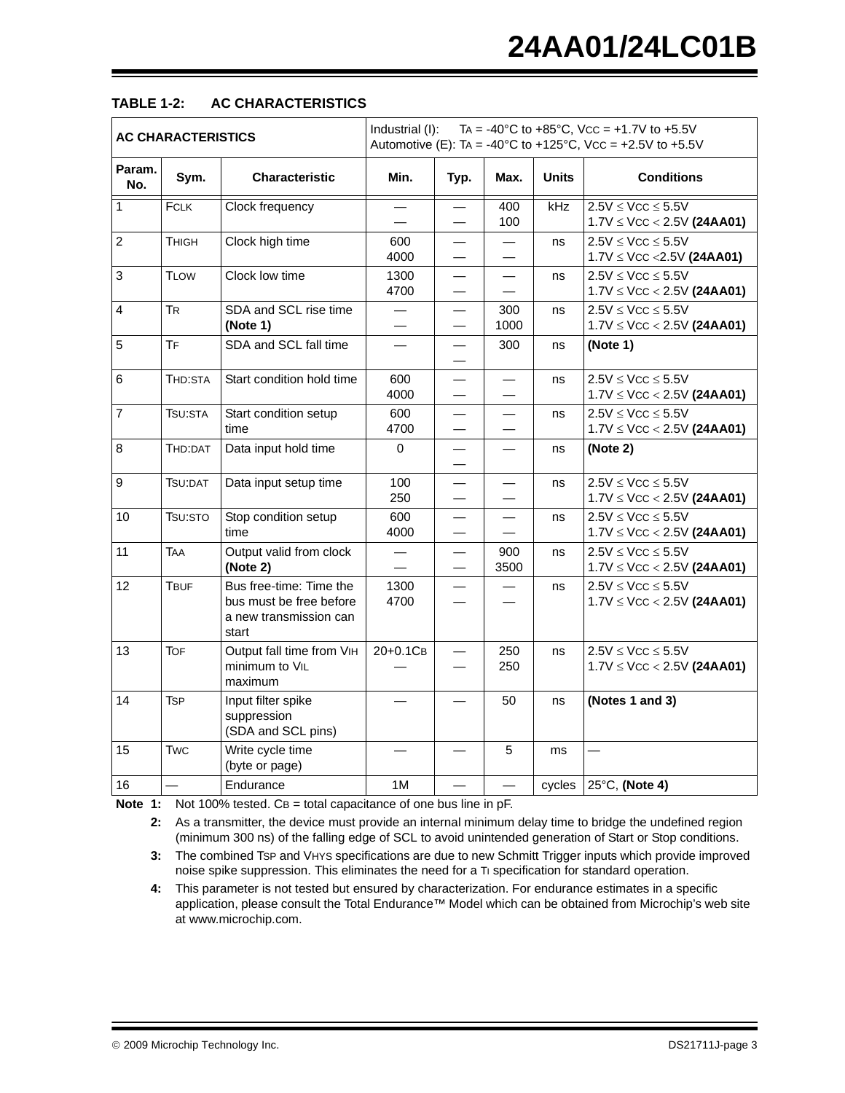| <b>AC CHARACTERISTICS</b> |                      |                                                                                       | Industrial (I):<br>TA = -40°C to +85°C, Vcc = +1.7V to +5.5V<br>Automotive (E): TA = -40°C to +125°C, Vcc = +2.5V to +5.5V |                                                      |                          |              |                                                                 |  |
|---------------------------|----------------------|---------------------------------------------------------------------------------------|----------------------------------------------------------------------------------------------------------------------------|------------------------------------------------------|--------------------------|--------------|-----------------------------------------------------------------|--|
| Param.<br>No.             | Sym.                 | <b>Characteristic</b>                                                                 | Min.                                                                                                                       | Typ.                                                 | Max.                     | <b>Units</b> | <b>Conditions</b>                                               |  |
| $\mathbf{1}$              | FCLK                 | Clock frequency                                                                       |                                                                                                                            |                                                      | 400<br>100               | kHz          | $2.5V \leq VCC \leq 5.5V$<br>$1.7V \leq VCC < 2.5V$ (24AA01)    |  |
| $\overline{c}$            | <b>THIGH</b>         | Clock high time                                                                       | 600<br>4000                                                                                                                |                                                      |                          | ns           | $2.5V \leq VCC \leq 5.5V$<br>$1.7V \leq Vcc \leq 2.5V$ (24AA01) |  |
| 3                         | <b>TLOW</b>          | Clock low time                                                                        | 1300<br>4700                                                                                                               | —                                                    | $\overline{\phantom{0}}$ | ns           | $2.5V \leq VCC \leq 5.5V$<br>$1.7V \leq VCC < 2.5V$ (24AA01)    |  |
| 4                         | <b>TR</b>            | SDA and SCL rise time<br>(Note 1)                                                     | $\overline{\phantom{0}}$                                                                                                   | $\overline{\phantom{0}}$<br>$\overline{\phantom{0}}$ | 300<br>1000              | ns           | $2.5V \leq VCC \leq 5.5V$<br>$1.7V \leq VCC < 2.5V$ (24AA01)    |  |
| 5                         | <b>TF</b>            | SDA and SCL fall time                                                                 |                                                                                                                            | $\overline{\phantom{0}}$                             | 300                      | ns           | (Note 1)                                                        |  |
| 6                         | THD:STA              | Start condition hold time                                                             | 600<br>4000                                                                                                                |                                                      |                          | ns           | $2.5V \leq VCC \leq 5.5V$<br>$1.7V \leq VCC < 2.5V$ (24AA01)    |  |
| $\overline{7}$            | TSU:STA              | Start condition setup<br>time                                                         | 600<br>4700                                                                                                                | $\overline{\phantom{0}}$                             | $\overline{\phantom{0}}$ | ns           | $2.5V \leq VCC \leq 5.5V$<br>$1.7V \leq VCC < 2.5V$ (24AA01)    |  |
| 8                         | THD:DAT              | Data input hold time                                                                  | $\Omega$                                                                                                                   | $\overline{\phantom{0}}$                             |                          | ns           | (Note 2)                                                        |  |
| 9                         | TSU:DAT              | Data input setup time                                                                 | 100<br>250                                                                                                                 | $\overline{\phantom{0}}$                             |                          | ns           | $2.5V \leq VCC \leq 5.5V$<br>$1.7V \leq VCC < 2.5V$ (24AA01)    |  |
| 10                        | T <sub>SU</sub> :STO | Stop condition setup<br>time                                                          | 600<br>4000                                                                                                                |                                                      |                          | ns           | $2.5V \leq VCC \leq 5.5V$<br>$1.7V \leq Vcc < 2.5V$ (24AA01)    |  |
| 11                        | TAA                  | Output valid from clock<br>(Note 2)                                                   |                                                                                                                            |                                                      | 900<br>3500              | ns           | $2.5V \leq VCC \leq 5.5V$<br>$1.7V \leq VCC < 2.5V$ (24AA01)    |  |
| 12                        | <b>TBUF</b>          | Bus free-time: Time the<br>bus must be free before<br>a new transmission can<br>start | 1300<br>4700                                                                                                               |                                                      |                          | ns           | $2.5V \leq VCC \leq 5.5V$<br>$1.7V \leq VCC < 2.5V$ (24AA01)    |  |
| 13                        | <b>TOF</b>           | Output fall time from VIH<br>minimum to VIL<br>maximum                                | 20+0.1CB                                                                                                                   |                                                      | 250<br>250               | ns           | $2.5V \leq VCC \leq 5.5V$<br>$1.7V \leq VCC < 2.5V$ (24AA01)    |  |
| 14                        | Tsp                  | Input filter spike<br>suppression<br>(SDA and SCL pins)                               |                                                                                                                            |                                                      | 50                       | ns           | (Notes 1 and 3)                                                 |  |
| 15                        | <b>Twc</b>           | Write cycle time<br>(byte or page)                                                    |                                                                                                                            |                                                      | 5                        | ms           | $\overline{\phantom{0}}$                                        |  |
| 16                        |                      | Endurance                                                                             | 1M                                                                                                                         |                                                      |                          |              | cycles $ 25^{\circ}$ C, (Note 4)                                |  |

### **TABLE 1-2: AC CHARACTERISTICS**

<span id="page-2-1"></span><span id="page-2-0"></span>**Note 1:** Not 100% tested. CB = total capacitance of one bus line in pF.

**2:** As a transmitter, the device must provide an internal minimum delay time to bridge the undefined region (minimum 300 ns) of the falling edge of SCL to avoid unintended generation of Start or Stop conditions.

- <span id="page-2-2"></span>**3:** The combined TSP and VHYS specifications are due to new Schmitt Trigger inputs which provide improved noise spike suppression. This eliminates the need for a Ti specification for standard operation.
- <span id="page-2-3"></span>**4:** This parameter is not tested but ensured by characterization. For endurance estimates in a specific application, please consult the Total Endurance™ Model which can be obtained from Microchip's web site at www.microchip.com.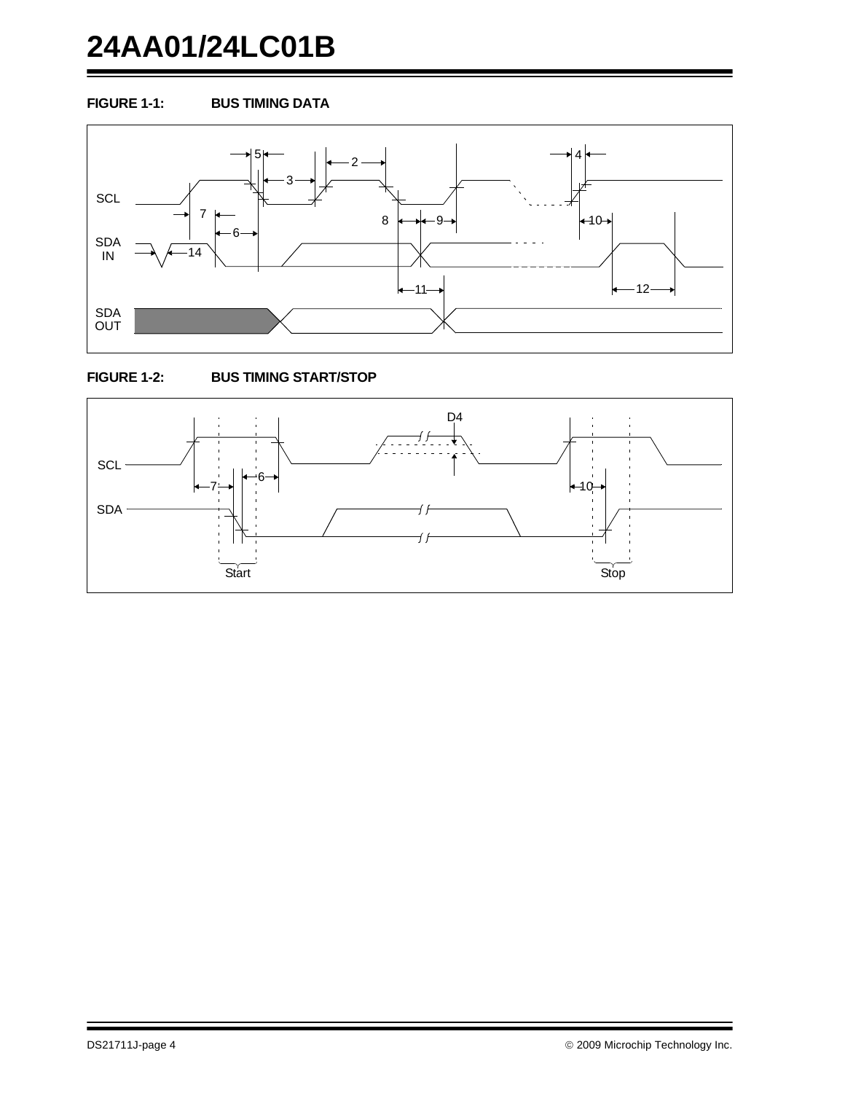# **24AA01/24LC01B**

### **FIGURE 1-1: BUS TIMING DATA**





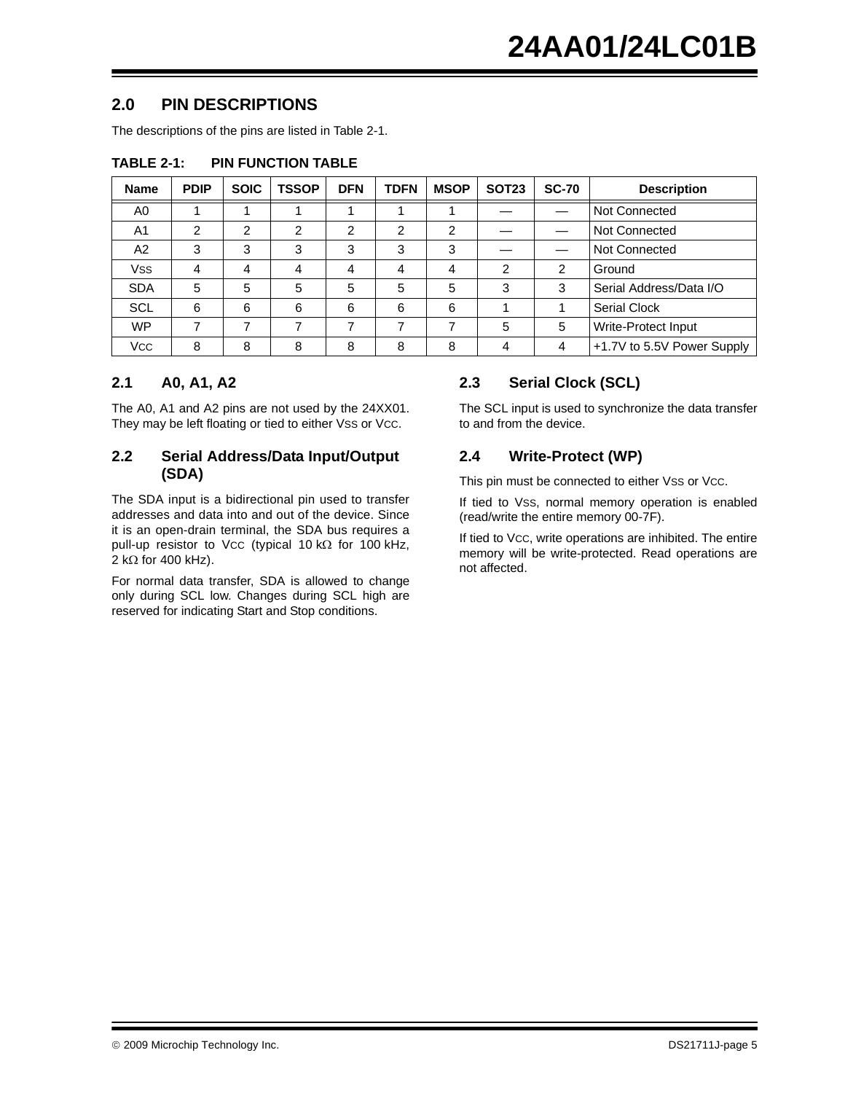# **2.0 PIN DESCRIPTIONS**

The descriptions of the pins are listed in [Table 2-1.](#page-4-0)

| <b>Name</b>    | <b>PDIP</b>    | <b>SOIC</b>    | <b>TSSOP</b>   | <b>DFN</b>     | <b>TDFN</b>    | <b>MSOP</b>    | <b>SOT23</b> | <b>SC-70</b>   | <b>Description</b>         |  |
|----------------|----------------|----------------|----------------|----------------|----------------|----------------|--------------|----------------|----------------------------|--|
| A0             |                |                |                |                |                |                |              |                | Not Connected              |  |
| A <sub>1</sub> | $\overline{2}$ | $\overline{2}$ | $\mathfrak{p}$ | $\mathfrak{p}$ | $\overline{2}$ | $\overline{2}$ |              |                | Not Connected              |  |
| A2             | 3              | 3              | 3              | 3              | 3              | 3              |              |                | Not Connected              |  |
| <b>Vss</b>     | 4              | 4              | 4              | 4              | 4              | 4              | 2            | $\mathfrak{p}$ | Ground                     |  |
| <b>SDA</b>     | 5              | 5              | 5              | 5              | 5              | 5              | 3            | 3              | Serial Address/Data I/O    |  |
| <b>SCL</b>     | 6              | 6              | 6              | 6              | 6              | 6              |              |                | <b>Serial Clock</b>        |  |
| <b>WP</b>      |                |                |                |                | ⇁              |                | 5            | 5              | Write-Protect Input        |  |
| <b>VCC</b>     | 8              | 8              | 8              | 8              | 8              | 8              | 4            | 4              | +1.7V to 5.5V Power Supply |  |

### <span id="page-4-0"></span>**TABLE 2-1: PIN FUNCTION TABLE**

## **2.1 A0, A1, A2**

The A0, A1 and A2 pins are not used by the 24XX01. They may be left floating or tied to either VSS or Vcc.

### **2.2 Serial Address/Data Input/Output (SDA)**

The SDA input is a bidirectional pin used to transfer addresses and data into and out of the device. Since it is an open-drain terminal, the SDA bus requires a pull-up resistor to VCC (typical 10 kΩ for 100 kHz, 2 kΩ for 400 kHz).

For normal data transfer, SDA is allowed to change only during SCL low. Changes during SCL high are reserved for indicating Start and Stop conditions.

# **2.3 Serial Clock (SCL)**

The SCL input is used to synchronize the data transfer to and from the device.

# **2.4 Write-Protect (WP)**

This pin must be connected to either VSS or Vcc.

If tied to VSS, normal memory operation is enabled (read/write the entire memory 00-7F).

If tied to VCC, write operations are inhibited. The entire memory will be write-protected. Read operations are not affected.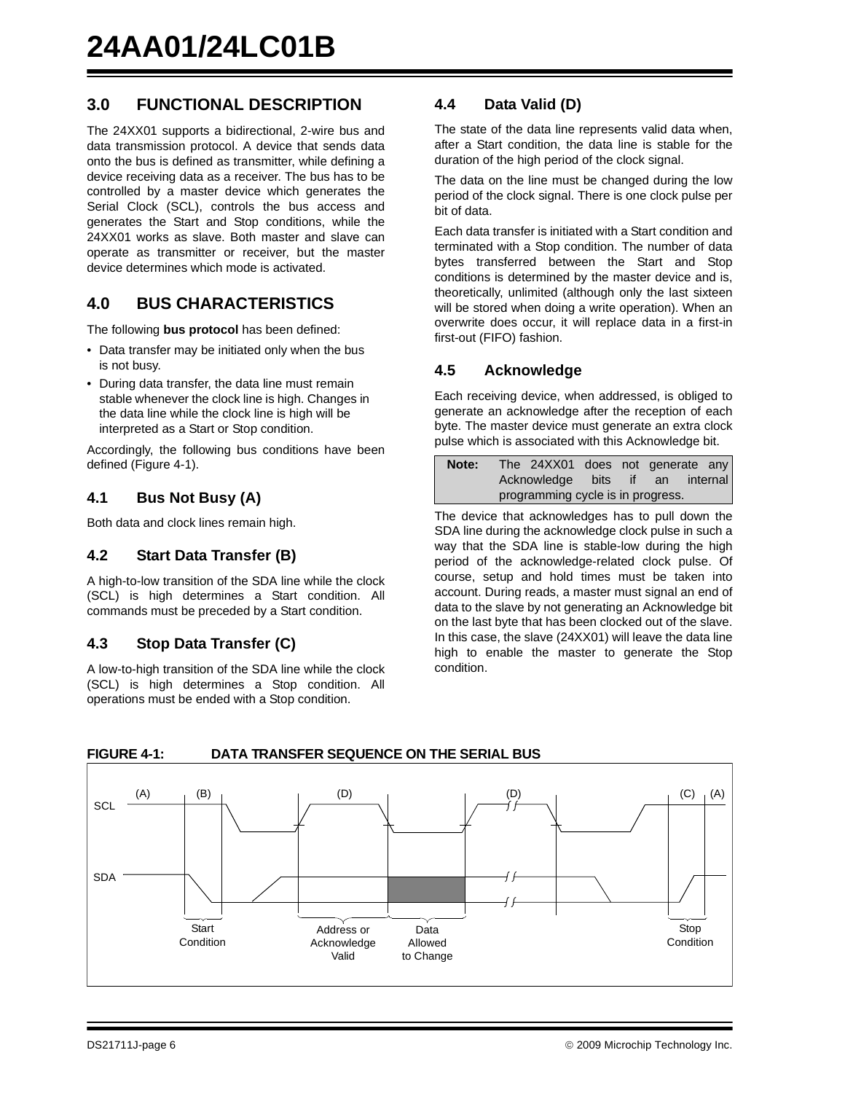# **3.0 FUNCTIONAL DESCRIPTION**

The 24XX01 supports a bidirectional, 2-wire bus and data transmission protocol. A device that sends data onto the bus is defined as transmitter, while defining a device receiving data as a receiver. The bus has to be controlled by a master device which generates the Serial Clock (SCL), controls the bus access and generates the Start and Stop conditions, while the 24XX01 works as slave. Both master and slave can operate as transmitter or receiver, but the master device determines which mode is activated.

# **4.0 BUS CHARACTERISTICS**

The following **bus protocol** has been defined:

- Data transfer may be initiated only when the bus is not busy.
- During data transfer, the data line must remain stable whenever the clock line is high. Changes in the data line while the clock line is high will be interpreted as a Start or Stop condition.

Accordingly, the following bus conditions have been defined ([Figure 4-1\)](#page-5-0).

### **4.1 Bus Not Busy (A)**

Both data and clock lines remain high.

### **4.2 Start Data Transfer (B)**

A high-to-low transition of the SDA line while the clock (SCL) is high determines a Start condition. All commands must be preceded by a Start condition.

### **4.3 Stop Data Transfer (C)**

A low-to-high transition of the SDA line while the clock (SCL) is high determines a Stop condition. All operations must be ended with a Stop condition.

### **4.4 Data Valid (D)**

The state of the data line represents valid data when, after a Start condition, the data line is stable for the duration of the high period of the clock signal.

The data on the line must be changed during the low period of the clock signal. There is one clock pulse per bit of data.

Each data transfer is initiated with a Start condition and terminated with a Stop condition. The number of data bytes transferred between the Start and Stop conditions is determined by the master device and is, theoretically, unlimited (although only the last sixteen will be stored when doing a write operation). When an overwrite does occur, it will replace data in a first-in first-out (FIFO) fashion.

### **4.5 Acknowledge**

Each receiving device, when addressed, is obliged to generate an acknowledge after the reception of each byte. The master device must generate an extra clock pulse which is associated with this Acknowledge bit.

| Note: | The 24XX01 does not generate any  |  |  |  |  |  |  |  |  |
|-------|-----------------------------------|--|--|--|--|--|--|--|--|
|       | Acknowledge bits if an internal   |  |  |  |  |  |  |  |  |
|       | programming cycle is in progress. |  |  |  |  |  |  |  |  |

The device that acknowledges has to pull down the SDA line during the acknowledge clock pulse in such a way that the SDA line is stable-low during the high period of the acknowledge-related clock pulse. Of course, setup and hold times must be taken into account. During reads, a master must signal an end of data to the slave by not generating an Acknowledge bit on the last byte that has been clocked out of the slave. In this case, the slave (24XX01) will leave the data line high to enable the master to generate the Stop condition.



### <span id="page-5-0"></span>**FIGURE 4-1: DATA TRANSFER SEQUENCE ON THE SERIAL BUS**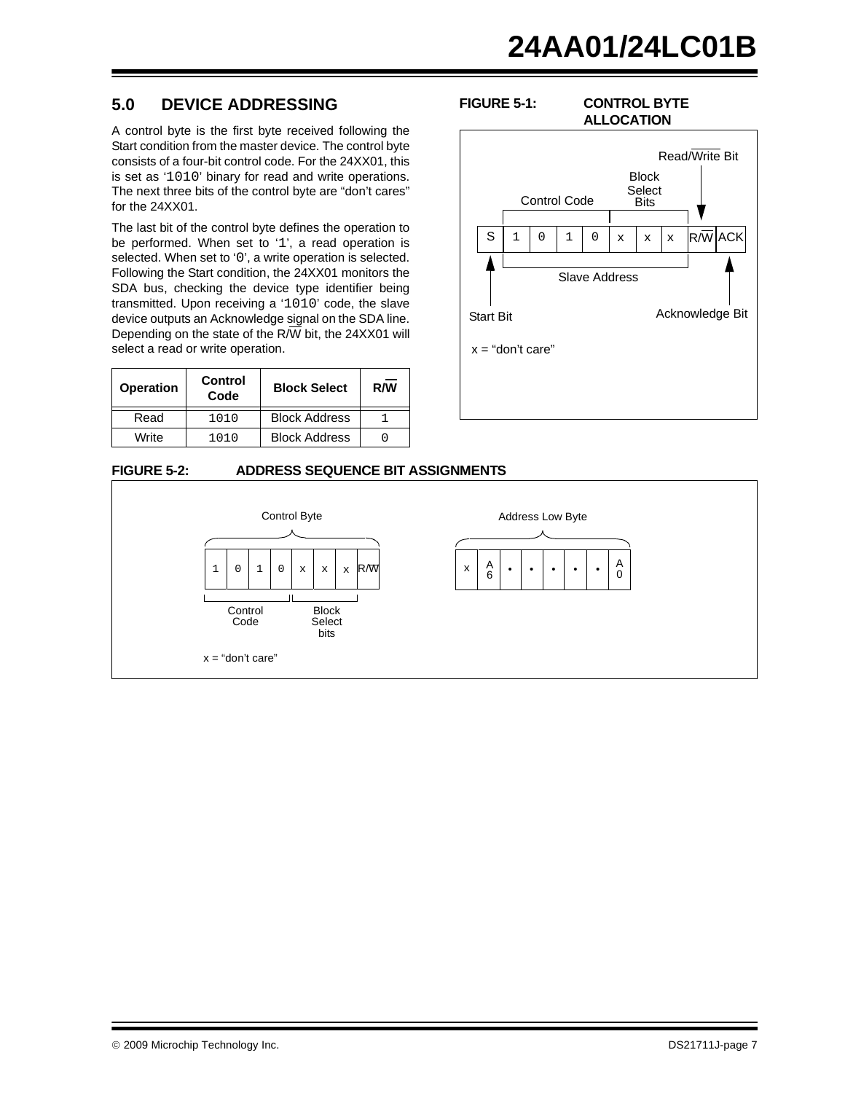# **5.0 DEVICE ADDRESSING**

A control byte is the first byte received following the Start condition from the master device. The control byte consists of a four-bit control code. For the 24XX01, this is set as '1010' binary for read and write operations. The next three bits of the control byte are "don't cares" for the 24XX01.

The last bit of the control byte defines the operation to be performed. When set to '1', a read operation is selected. When set to '0', a write operation is selected. Following the Start condition, the 24XX01 monitors the SDA bus, checking the device type identifier being transmitted. Upon receiving a '1010' code, the slave device outputs an Acknowledge signal on the SDA line. Depending on the state of the R/W bit, the 24XX01 will select a read or write operation.

| <b>Operation</b> | Control<br>Code | <b>Block Select</b>  | R/W |
|------------------|-----------------|----------------------|-----|
| Read             | 1010            | <b>Block Address</b> |     |
| Write            | 1010            | <b>Block Address</b> |     |

### **FIGURE 5-2: ADDRESS SEQUENCE BIT ASSIGNMENTS**



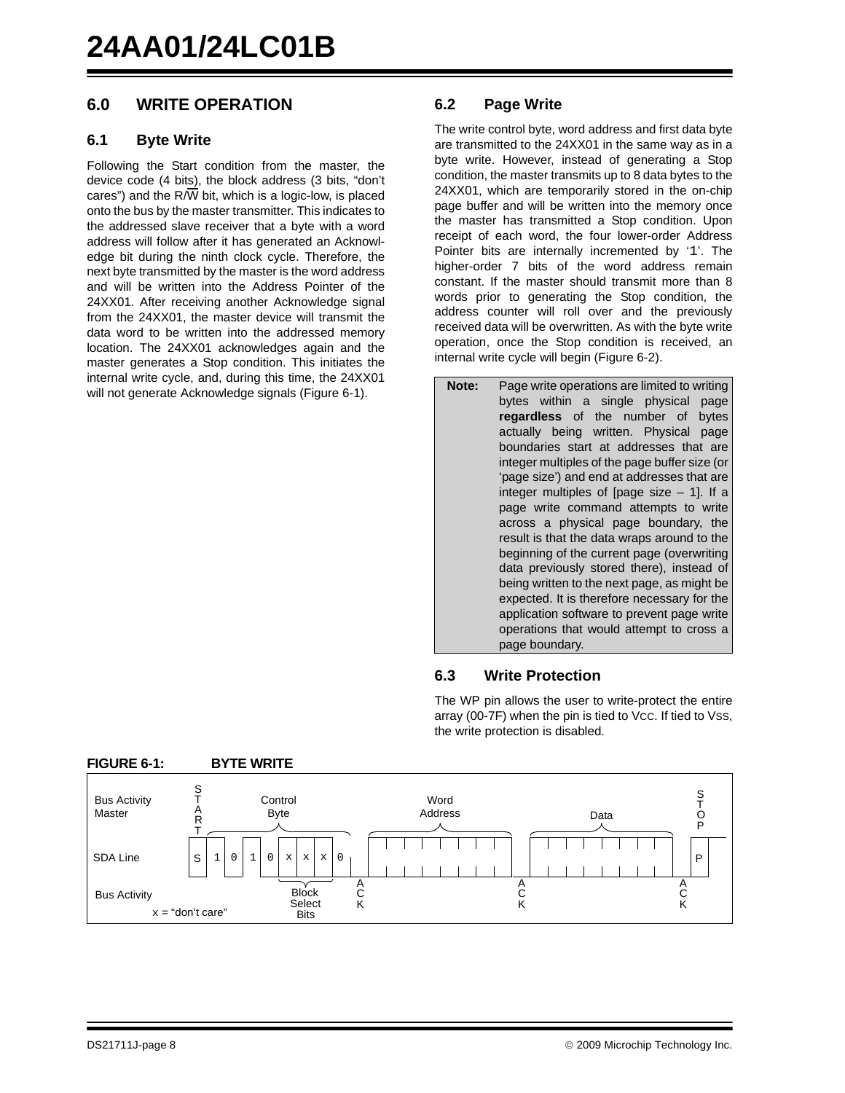# **6.0 WRITE OPERATION**

### **6.1 Byte Write**

Following the Start condition from the master, the device code (4 bits), the block address (3 bits, "don't cares") and the  $R/\overline{W}$  bit, which is a logic-low, is placed onto the bus by the master transmitter. This indicates to the addressed slave receiver that a byte with a word address will follow after it has generated an Acknowledge bit during the ninth clock cycle. Therefore, the next byte transmitted by the master is the word address and will be written into the Address Pointer of the 24XX01. After receiving another Acknowledge signal from the 24XX01, the master device will transmit the data word to be written into the addressed memory location. The 24XX01 acknowledges again and the master generates a Stop condition. This initiates the internal write cycle, and, during this time, the 24XX01 will not generate Acknowledge signals [\(Figure 6-1](#page-7-0)).

### **6.2 Page Write**

The write control byte, word address and first data byte are transmitted to the 24XX01 in the same way as in a byte write. However, instead of generating a Stop condition, the master transmits up to 8 data bytes to the 24XX01, which are temporarily stored in the on-chip page buffer and will be written into the memory once the master has transmitted a Stop condition. Upon receipt of each word, the four lower-order Address Pointer bits are internally incremented by '1'. The higher-order 7 bits of the word address remain constant. If the master should transmit more than 8 words prior to generating the Stop condition, the address counter will roll over and the previously received data will be overwritten. As with the byte write operation, once the Stop condition is received, an internal write cycle will begin ([Figure 6-2\)](#page-8-0).

**Note:** Page write operations are limited to writing bytes within a single physical page **regardless** of the number of bytes actually being written. Physical page boundaries start at addresses that are integer multiples of the page buffer size (or 'page size') and end at addresses that are integer multiples of [page size – 1]. If a page write command attempts to write across a physical page boundary, the result is that the data wraps around to the beginning of the current page (overwriting data previously stored there), instead of being written to the next page, as might be expected. It is therefore necessary for the application software to prevent page write operations that would attempt to cross a page boundary.

### **6.3 Write Protection**

The WP pin allows the user to write-protect the entire array (00-7F) when the pin is tied to VCC. If tied to VSS, the write protection is disabled.



### <span id="page-7-0"></span>**FIGURE 6-1: BYTE WRITE**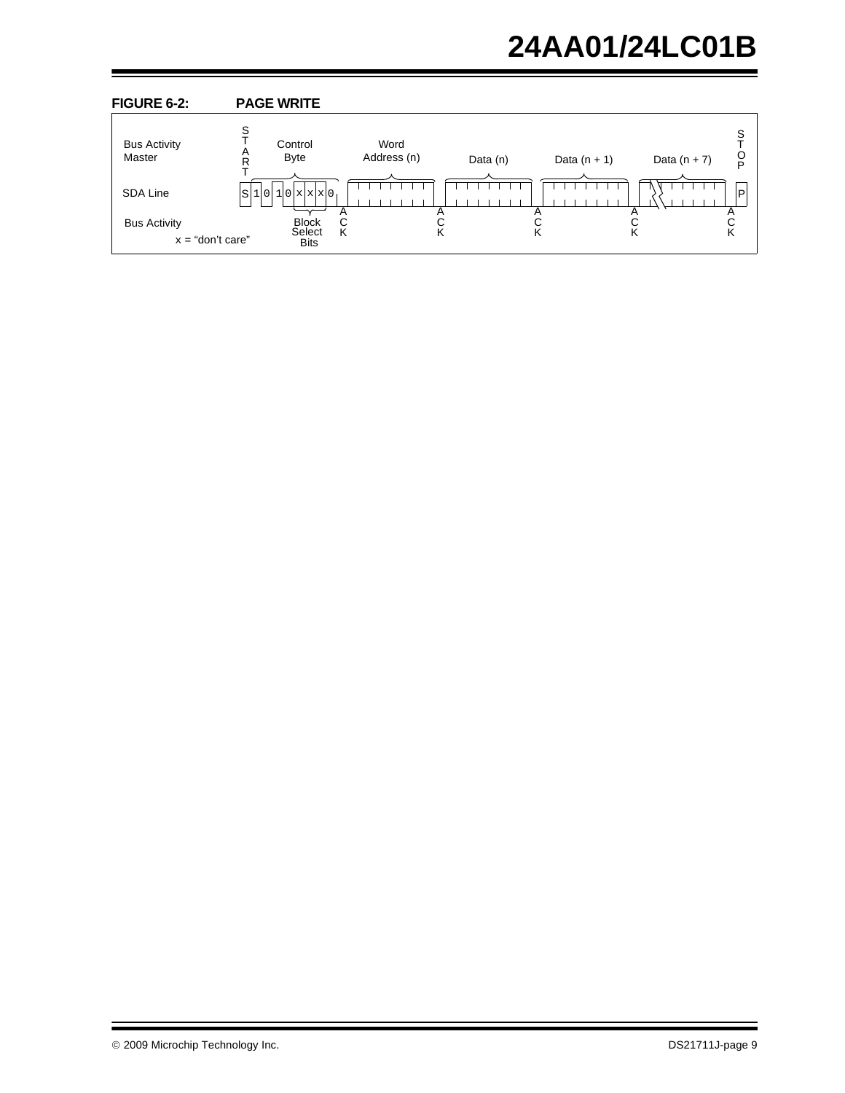# **24AA01/24LC01B**

<span id="page-8-0"></span>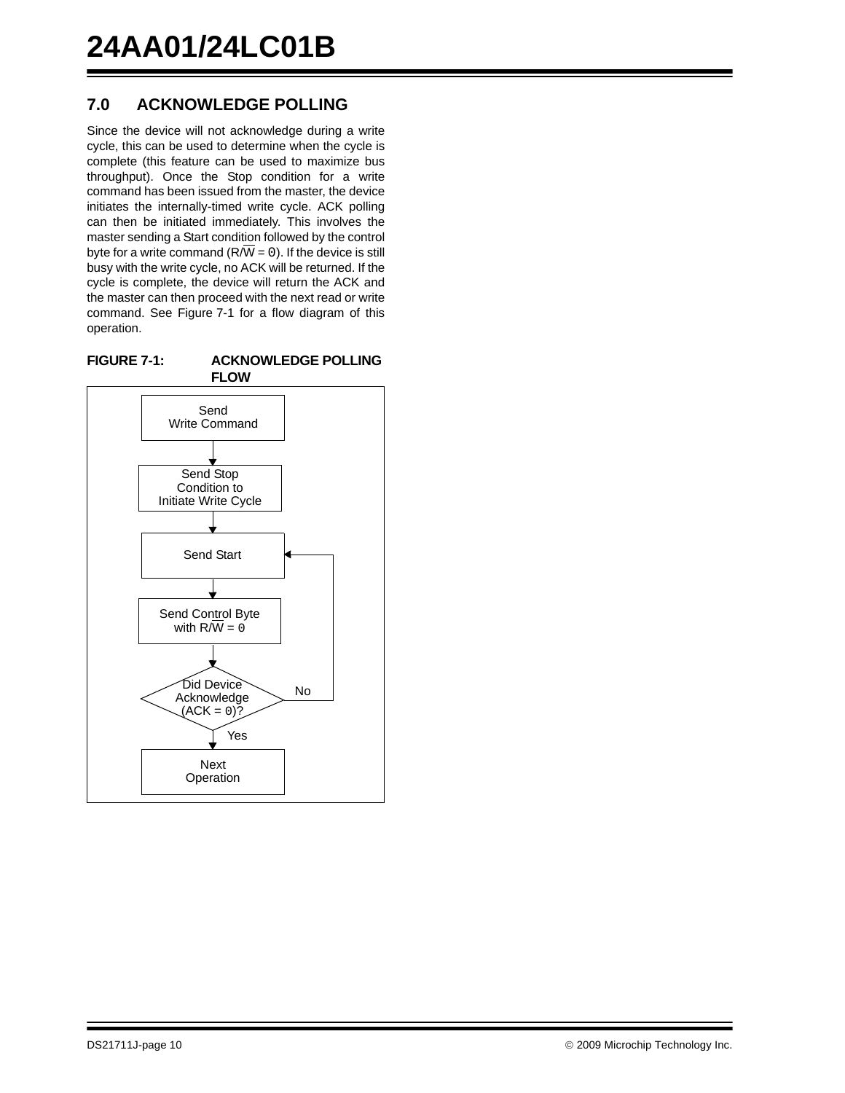# **7.0 ACKNOWLEDGE POLLING**

Since the device will not acknowledge during a write cycle, this can be used to determine when the cycle is complete (this feature can be used to maximize bus throughput). Once the Stop condition for a write command has been issued from the master, the device initiates the internally-timed write cycle. ACK polling can then be initiated immediately. This involves the master sending a Start condition followed by the control byte for a write command ( $R/\overline{W} = 0$ ). If the device is still busy with the write cycle, no ACK will be returned. If the cycle is complete, the device will return the ACK and the master can then proceed with the next read or write command. See [Figure 7-1](#page-9-0) for a flow diagram of this operation.

<span id="page-9-0"></span>

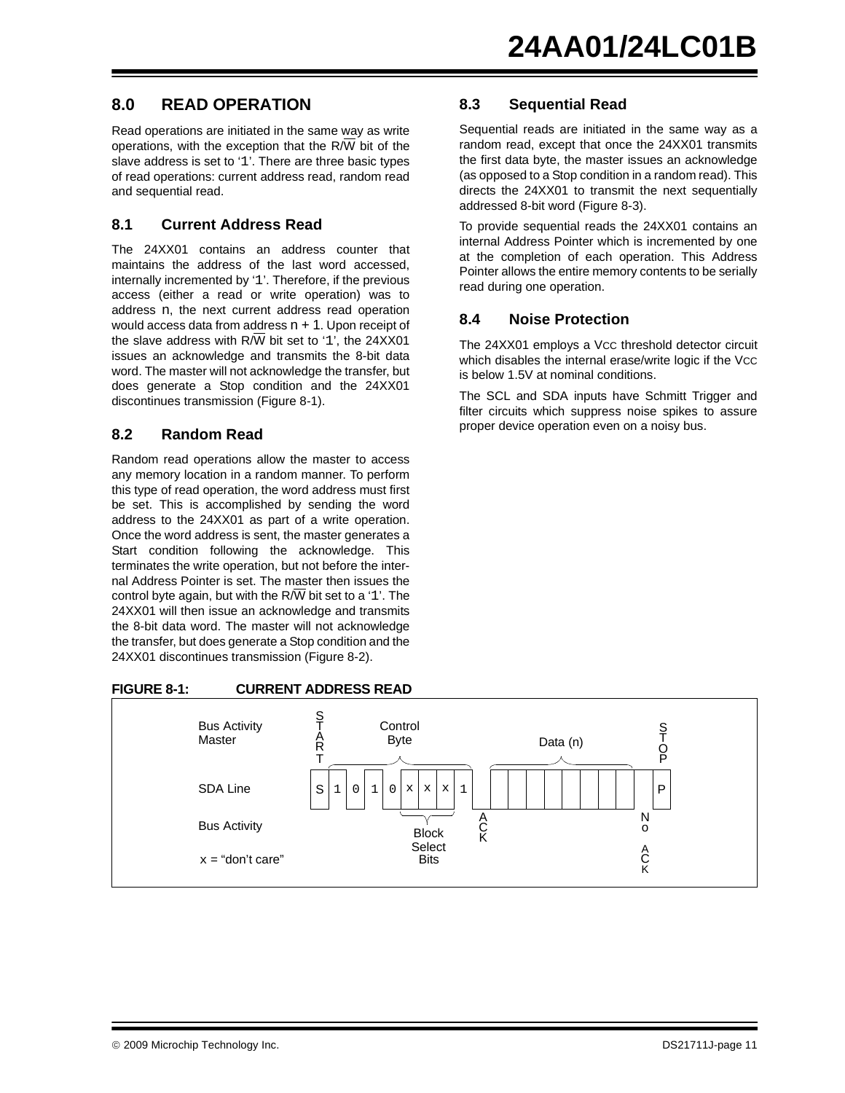# **8.0 READ OPERATION**

Read operations are initiated in the same way as write operations, with the exception that the  $R/\overline{W}$  bit of the slave address is set to '1'. There are three basic types of read operations: current address read, random read and sequential read.

### **8.1 Current Address Read**

The 24XX01 contains an address counter that maintains the address of the last word accessed, internally incremented by '1'. Therefore, if the previous access (either a read or write operation) was to address n, the next current address read operation would access data from address  $n + 1$ . Upon receipt of the slave address with  $R/\overline{W}$  bit set to '1', the 24XX01 issues an acknowledge and transmits the 8-bit data word. The master will not acknowledge the transfer, but does generate a Stop condition and the 24XX01 discontinues transmission [\(Figure 8-1](#page-10-0)).

### **8.2 Random Read**

Random read operations allow the master to access any memory location in a random manner. To perform this type of read operation, the word address must first be set. This is accomplished by sending the word address to the 24XX01 as part of a write operation. Once the word address is sent, the master generates a Start condition following the acknowledge. This terminates the write operation, but not before the internal Address Pointer is set. The master then issues the control byte again, but with the R/W bit set to a '1'. The 24XX01 will then issue an acknowledge and transmits the 8-bit data word. The master will not acknowledge the transfer, but does generate a Stop condition and the 24XX01 discontinues transmission ([Figure 8-2\)](#page-11-0).

### <span id="page-10-0"></span>**FIGURE 8-1: CURRENT ADDRESS READ**

### S P Bus Activity **Master** SDA Line Bus Activity S T O P **Control** Byte Data (n) A C K N o A C K S T A R T **Block** Select  $x = "don't care"$  Bits  $1$  0  $1$  0  $x$   $x$   $x$  1

### **8.3 Sequential Read**

Sequential reads are initiated in the same way as a random read, except that once the 24XX01 transmits the first data byte, the master issues an acknowledge (as opposed to a Stop condition in a random read). This directs the 24XX01 to transmit the next sequentially addressed 8-bit word [\(Figure 8-3](#page-11-1)).

To provide sequential reads the 24XX01 contains an internal Address Pointer which is incremented by one at the completion of each operation. This Address Pointer allows the entire memory contents to be serially read during one operation.

### **8.4 Noise Protection**

The 24XX01 employs a Vcc threshold detector circuit which disables the internal erase/write logic if the VCC is below 1.5V at nominal conditions.

The SCL and SDA inputs have Schmitt Trigger and filter circuits which suppress noise spikes to assure proper device operation even on a noisy bus.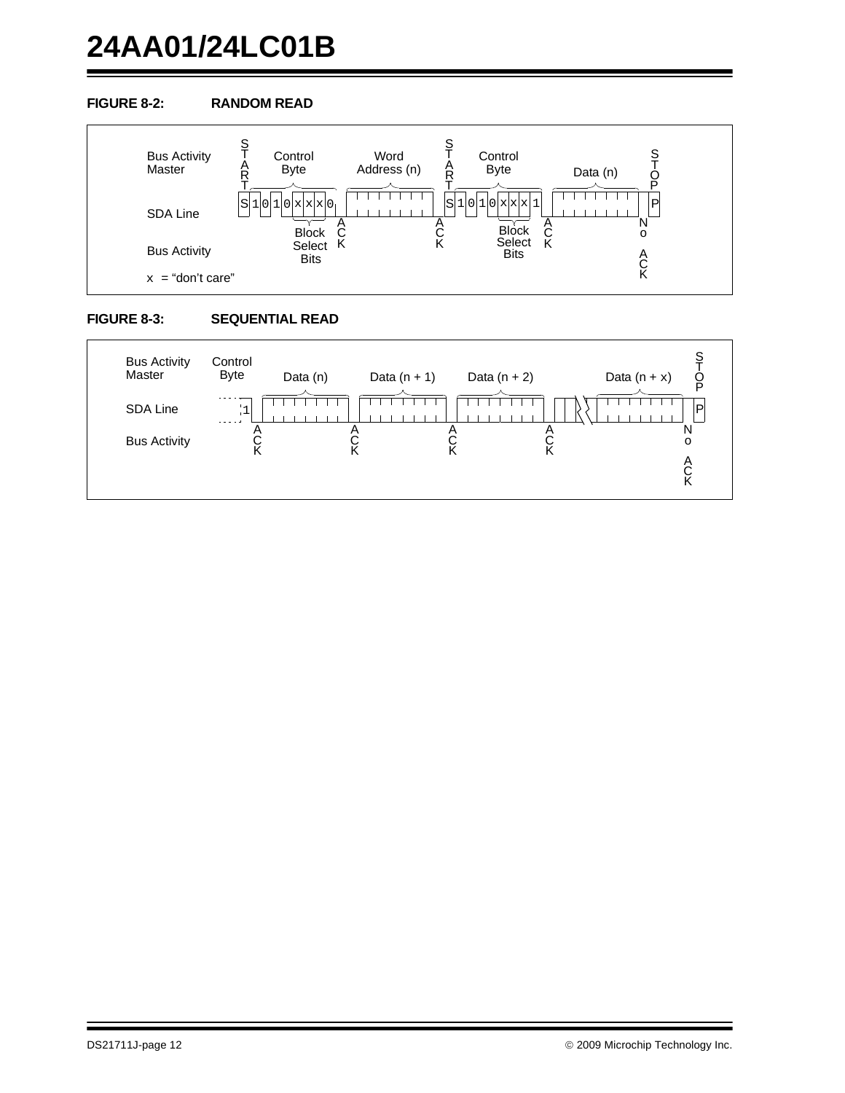# **24AA01/24LC01B**

### <span id="page-11-0"></span>**FIGURE 8-2: RANDOM READ**



### <span id="page-11-1"></span>**FIGURE 8-3: SEQUENTIAL READ**

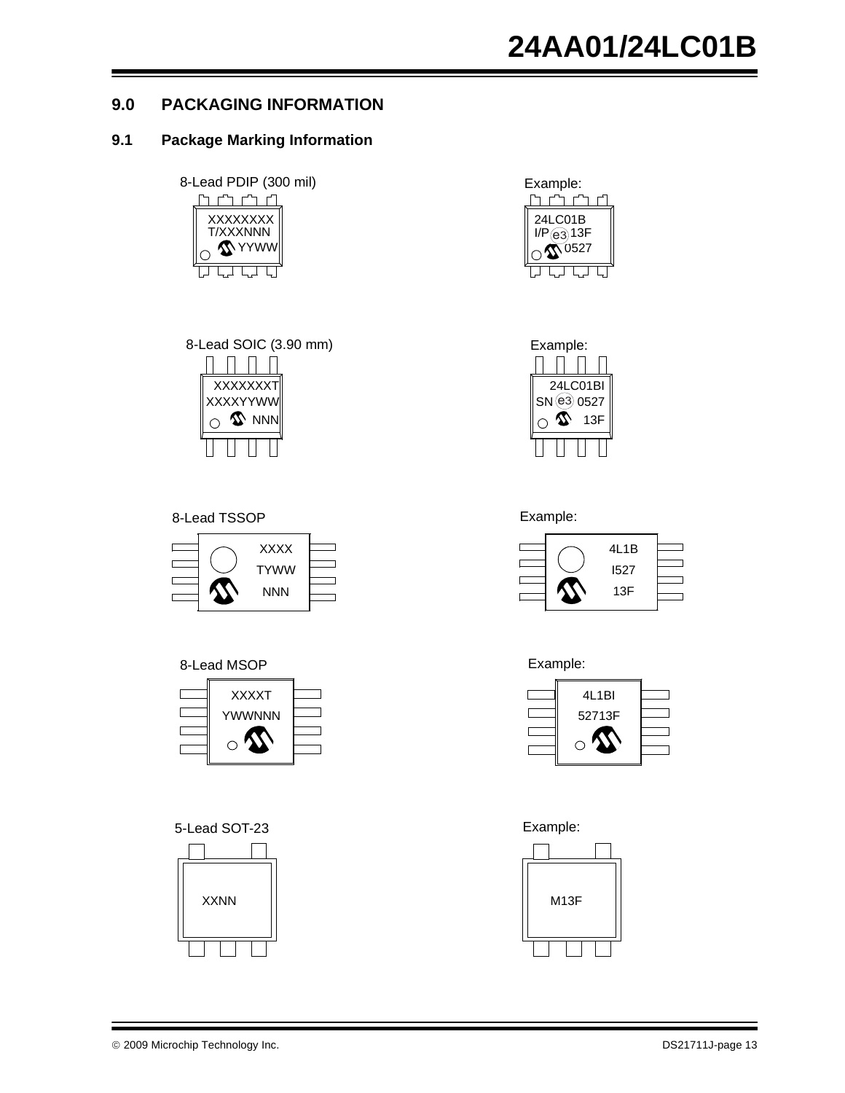# **9.0 PACKAGING INFORMATION**

## **9.1 Package Marking Information**











### 8-Lead TSSOP **Example:**



### 8-Lead MSOP **Example:**



5-Lead SOT-23 Example:















© 2009 Microchip Technology Inc. DS21711J-page 13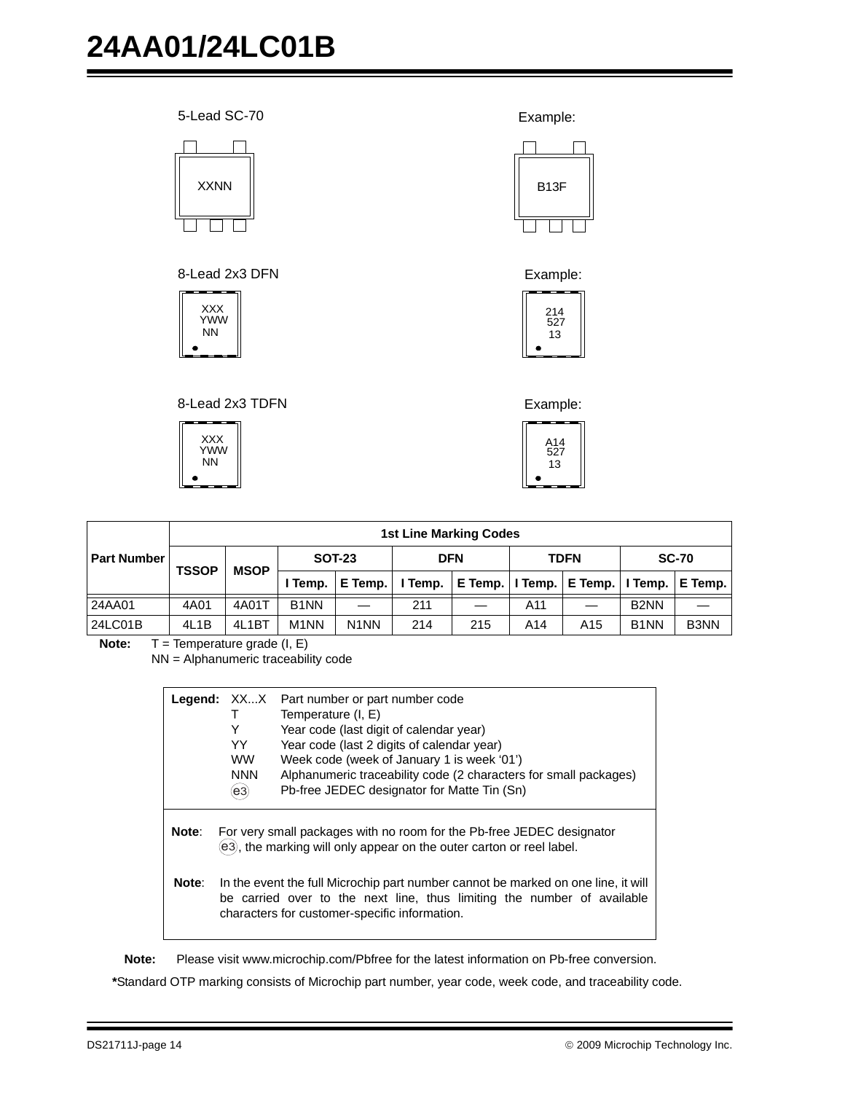



Example:



Example:



|             |              | <b>1st Line Marking Codes</b> |                   |                               |            |     |             |                                       |                   |                   |  |
|-------------|--------------|-------------------------------|-------------------|-------------------------------|------------|-----|-------------|---------------------------------------|-------------------|-------------------|--|
| Part Number | <b>TSSOP</b> | <b>MSOP</b>                   | <b>SOT-23</b>     |                               | <b>DFN</b> |     | <b>TDFN</b> |                                       | <b>SC-70</b>      |                   |  |
|             |              |                               | Temp.             | E Temp.                       | I Temp.    |     |             | E Temp.   I Temp.   E Temp.   I Temp. |                   | E Temp.           |  |
| 24AA01      | 4A01         | 4A01T                         | B <sub>1</sub> NN |                               | 211        |     | A11         |                                       | B <sub>2</sub> NN |                   |  |
| 24LC01B     | 4L1B         | 4L1BT                         | M <sub>1</sub> NN | N <sub>1</sub> N <sub>N</sub> | 214        | 215 | A14         | A15                                   | B <sub>1</sub> NN | B <sub>3</sub> NN |  |

**Note:** T = Temperature grade (I, E)

NN = Alphanumeric traceability code

|       | Y<br>YY.<br><b>WW</b><br><b>NNN</b><br>$\mathbf{(e3)}$ | <b>Legend:</b> XXX Part number or part number code<br>Temperature (I, E)<br>Year code (last digit of calendar year)<br>Year code (last 2 digits of calendar year)<br>Week code (week of January 1 is week '01')<br>Alphanumeric traceability code (2 characters for small packages)<br>Pb-free JEDEC designator for Matte Tin (Sn) |
|-------|--------------------------------------------------------|------------------------------------------------------------------------------------------------------------------------------------------------------------------------------------------------------------------------------------------------------------------------------------------------------------------------------------|
| Note: |                                                        | For very small packages with no room for the Pb-free JEDEC designator<br>e3), the marking will only appear on the outer carton or reel label.                                                                                                                                                                                      |
| Note: |                                                        | In the event the full Microchip part number cannot be marked on one line, it will<br>be carried over to the next line, thus limiting the number of available<br>characters for customer-specific information.                                                                                                                      |

**Note:** Please visit www.microchip.com/Pbfree for the latest information on Pb-free conversion.

**\***Standard OTP marking consists of Microchip part number, year code, week code, and traceability code.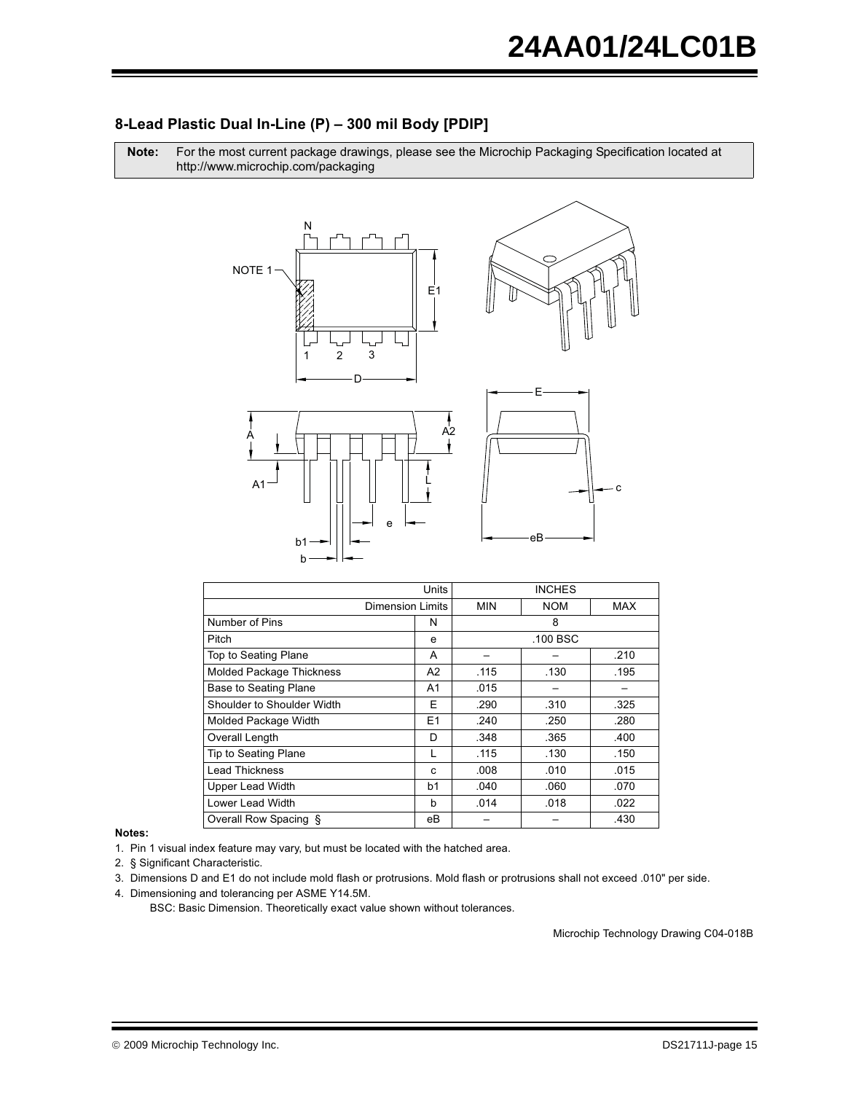### 8-Lead Plastic Dual In-Line (P) - 300 mil Body [PDIP]

Note: For the most current package drawings, please see the Microchip Packaging Specification located at http://www.microchip.com/packaging



|                                 | Units                   | <b>INCHES</b> |            |            |  |  |
|---------------------------------|-------------------------|---------------|------------|------------|--|--|
|                                 | <b>Dimension Limits</b> | MIN           | <b>NOM</b> | <b>MAX</b> |  |  |
| Number of Pins                  | N                       |               | 8          |            |  |  |
| Pitch                           | e                       |               | .100 BSC   |            |  |  |
| Top to Seating Plane            | A                       |               |            | .210       |  |  |
| <b>Molded Package Thickness</b> | A2                      | .115          | .130       | .195       |  |  |
| <b>Base to Seating Plane</b>    | A1                      | .015          |            |            |  |  |
| Shoulder to Shoulder Width      | Е                       | .290          | .310       | .325       |  |  |
| Molded Package Width            | E1                      | .240          | .250       | .280       |  |  |
| Overall Length                  | D                       | .348          | .365       | .400       |  |  |
| Tip to Seating Plane            |                         | .115          | .130       | .150       |  |  |
| <b>Lead Thickness</b>           | C                       | .008          | .010       | .015       |  |  |
| <b>Upper Lead Width</b>         | b1                      | .040          | .060       | .070       |  |  |
| Lower Lead Width                | h                       | .014          | .018       | .022       |  |  |
| Overall Row Spacing §           | eВ                      |               |            | .430       |  |  |

Notes:

1. Pin 1 visual index feature may vary, but must be located with the hatched area.

2. § Significant Characteristic.

3. Dimensions D and E1 do not include mold flash or protrusions. Mold flash or protrusions shall not exceed .010" per side.

4. Dimensioning and tolerancing per ASME Y14.5M.

BSC: Basic Dimension. Theoretically exact value shown without tolerances.

Microchip Technology Drawing C04-018B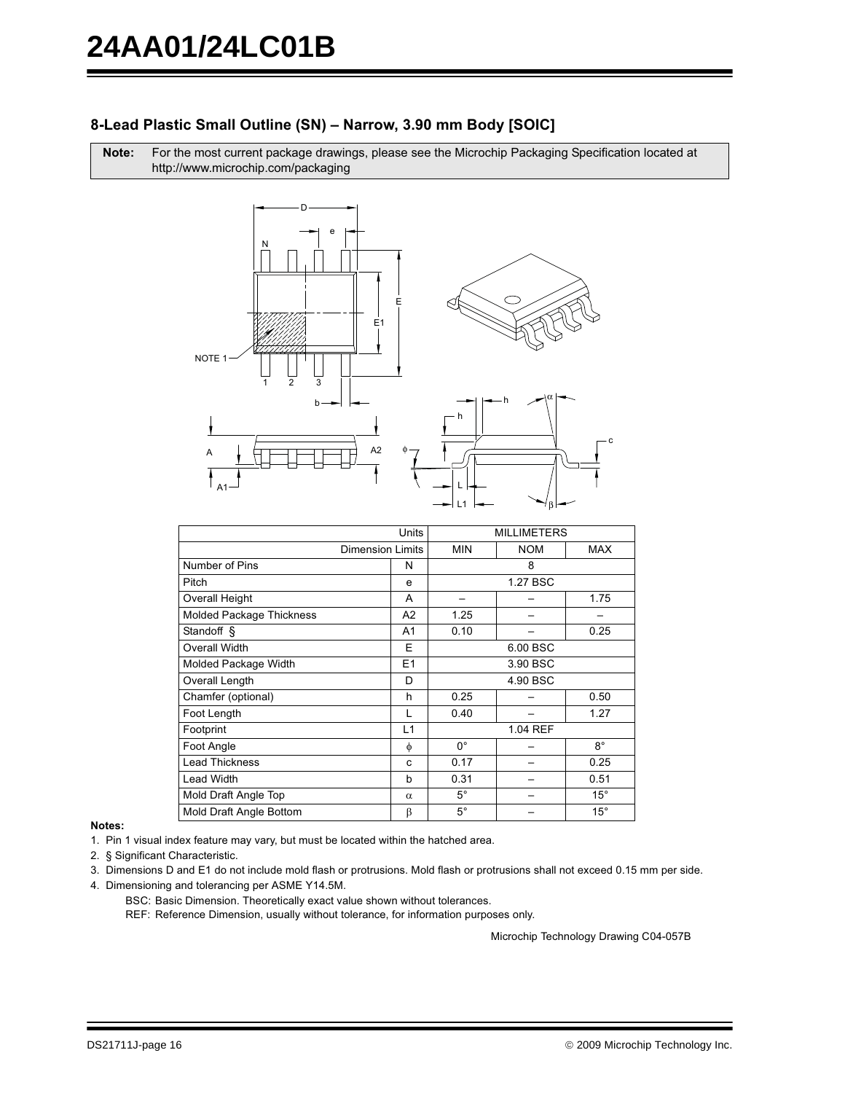### 8-Lead Plastic Small Outline (SN) - Narrow, 3.90 mm Body [SOIC]

Note: For the most current package drawings, please see the Microchip Packaging Specification located at http://www.microchip.com/packaging



|                                 | Units                   | <b>MILLIMETERS</b> |          |              |  |
|---------------------------------|-------------------------|--------------------|----------|--------------|--|
|                                 | <b>Dimension Limits</b> |                    |          | MAX          |  |
| Number of Pins                  | N                       |                    | 8        |              |  |
| Pitch                           | e                       |                    | 1.27 BSC |              |  |
| Overall Height                  | A                       |                    |          | 1.75         |  |
| <b>Molded Package Thickness</b> | A <sub>2</sub>          | 1.25               |          |              |  |
| Standoff §                      | A1                      | 0.10               |          | 0.25         |  |
| Overall Width                   | E                       | 6.00 BSC           |          |              |  |
| Molded Package Width            | E1                      | 3.90 BSC           |          |              |  |
| Overall Length                  | D                       | 4.90 BSC           |          |              |  |
| Chamfer (optional)              | h                       | 0.25               |          | 0.50         |  |
| Foot Length                     | L                       | 0.40               |          | 1.27         |  |
| Footprint                       | L1                      |                    | 1.04 REF |              |  |
| Foot Angle                      | φ                       | $0^{\circ}$        |          | $8^{\circ}$  |  |
| <b>Lead Thickness</b>           | C                       | 0.17               |          | 0.25         |  |
| <b>Lead Width</b>               | b                       | 0.31               |          | 0.51         |  |
| Mold Draft Angle Top            | $\alpha$                | $5^{\circ}$        |          | $15^{\circ}$ |  |
| Mold Draft Angle Bottom         | β                       | $5^{\circ}$        |          | $15^{\circ}$ |  |

Notes:

1. Pin 1 visual index feature may vary, but must be located within the hatched area.

2. § Significant Characteristic.

3. Dimensions D and E1 do not include mold flash or protrusions. Mold flash or protrusions shall not exceed 0.15 mm per side.

- 4. Dimensioning and tolerancing per ASME Y14.5M.
	- BSC: Basic Dimension. Theoretically exact value shown without tolerances.

REF: Reference Dimension, usually without tolerance, for information purposes only.

Microchip Technology Drawing C04-057B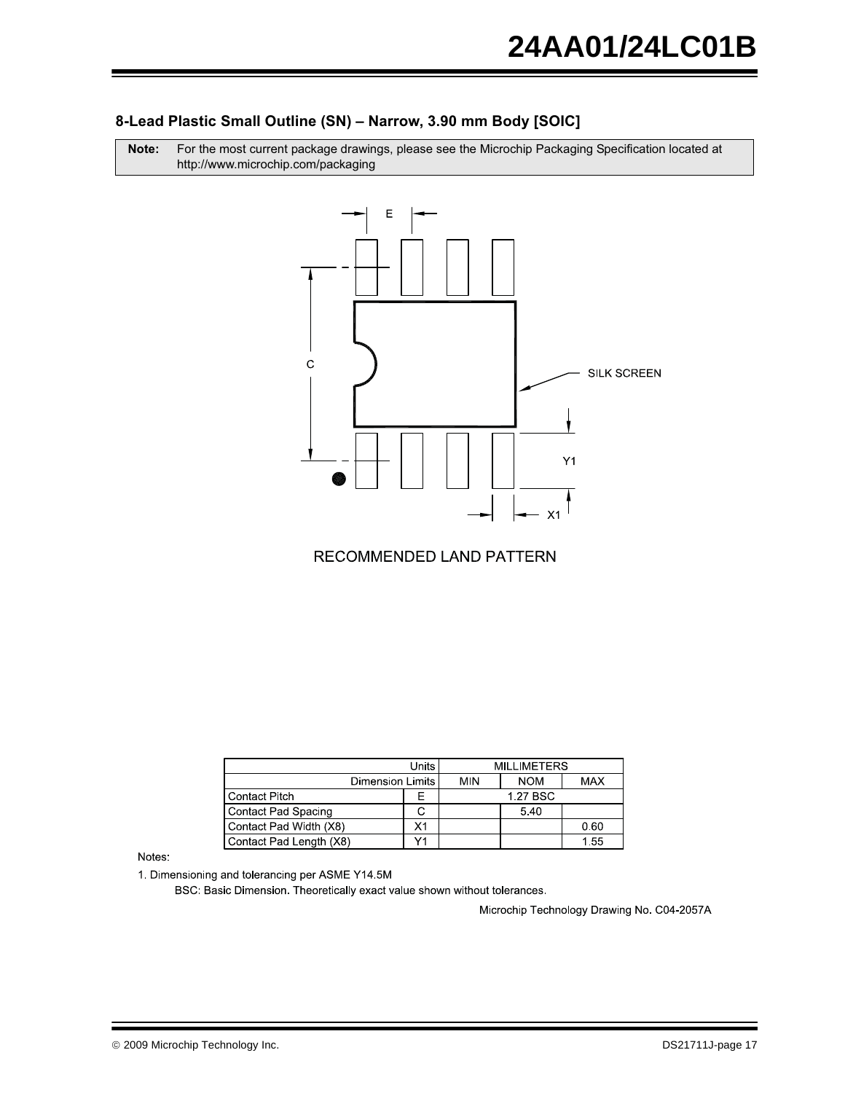### 8-Lead Plastic Small Outline (SN) - Narrow, 3.90 mm Body [SOIC]

For the most current package drawings, please see the Microchip Packaging Specification located at Note: http://www.microchip.com/packaging



**RECOMMENDED LAND PATTERN** 

|                         | <b>MILLIMETERS</b> |            |            |      |
|-------------------------|--------------------|------------|------------|------|
| <b>Dimension Limits</b> | <b>MIN</b>         | <b>NOM</b> | <b>MAX</b> |      |
| l Contact Pitch         |                    |            | 1.27 BSC   |      |
| Contact Pad Spacing     |                    |            | 5.40       |      |
| Contact Pad Width (X8)  | Х1                 |            |            | 0.60 |
| Contact Pad Length (X8) | $\lambda$          |            |            | 1.55 |

Notes:

1. Dimensioning and tolerancing per ASME Y14.5M

BSC: Basic Dimension. Theoretically exact value shown without tolerances.

Microchip Technology Drawing No. C04-2057A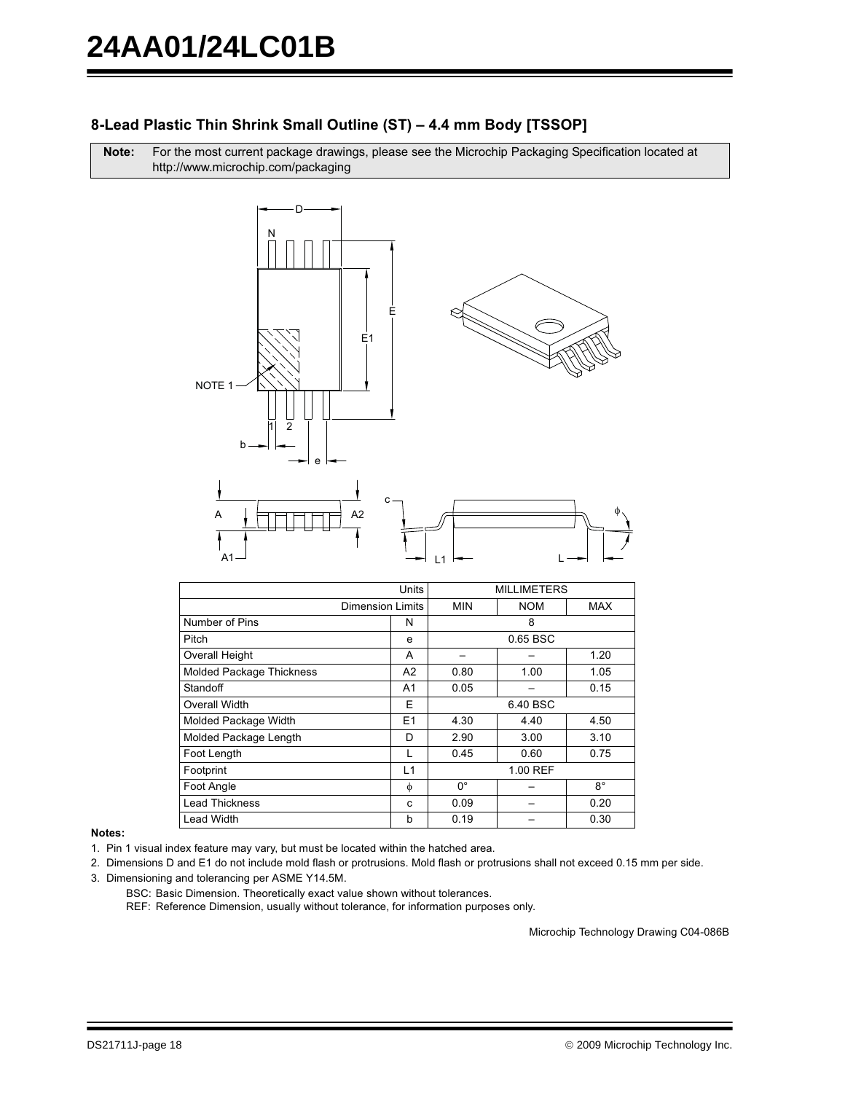# 8-Lead Plastic Thin Shrink Small Outline (ST) - 4.4 mm Body [TSSOP]

Note: For the most current package drawings, please see the Microchip Packaging Specification located at http://www.microchip.com/packaging



|                                 | Units          |             | <b>MILLIMETERS</b> |            |
|---------------------------------|----------------|-------------|--------------------|------------|
| <b>Dimension Limits</b>         |                | <b>MIN</b>  | <b>NOM</b>         | <b>MAX</b> |
| Number of Pins                  | N              |             | 8                  |            |
| Pitch                           | e              |             | 0.65 BSC           |            |
| <b>Overall Height</b>           | A              |             |                    | 1.20       |
| <b>Molded Package Thickness</b> | A2             | 0.80        | 1.00               | 1.05       |
| Standoff                        | A1             | 0.05        |                    | 0.15       |
| Overall Width                   | E              |             | 6.40 BSC           |            |
| Molded Package Width            | E <sub>1</sub> | 4.30        | 4.40               | 4.50       |
| Molded Package Length           | D              | 2.90        | 3.00               | 3.10       |
| Foot Length                     |                | 0.45        | 0.60               | 0.75       |
| Footprint                       | L1             |             | 1.00 REF           |            |
| Foot Angle                      | φ              | $0^{\circ}$ |                    | $8^\circ$  |
| <b>Lead Thickness</b>           | C              | 0.09        |                    | 0.20       |
| <b>Lead Width</b>               | b              | 0.19        |                    | 0.30       |

### Notes:

1. Pin 1 visual index feature may vary, but must be located within the hatched area.

2. Dimensions D and E1 do not include mold flash or protrusions. Mold flash or protrusions shall not exceed 0.15 mm per side.

- 3. Dimensioning and tolerancing per ASME Y14.5M.
	- BSC: Basic Dimension. Theoretically exact value shown without tolerances.

REF: Reference Dimension, usually without tolerance, for information purposes only.

Microchip Technology Drawing C04-086B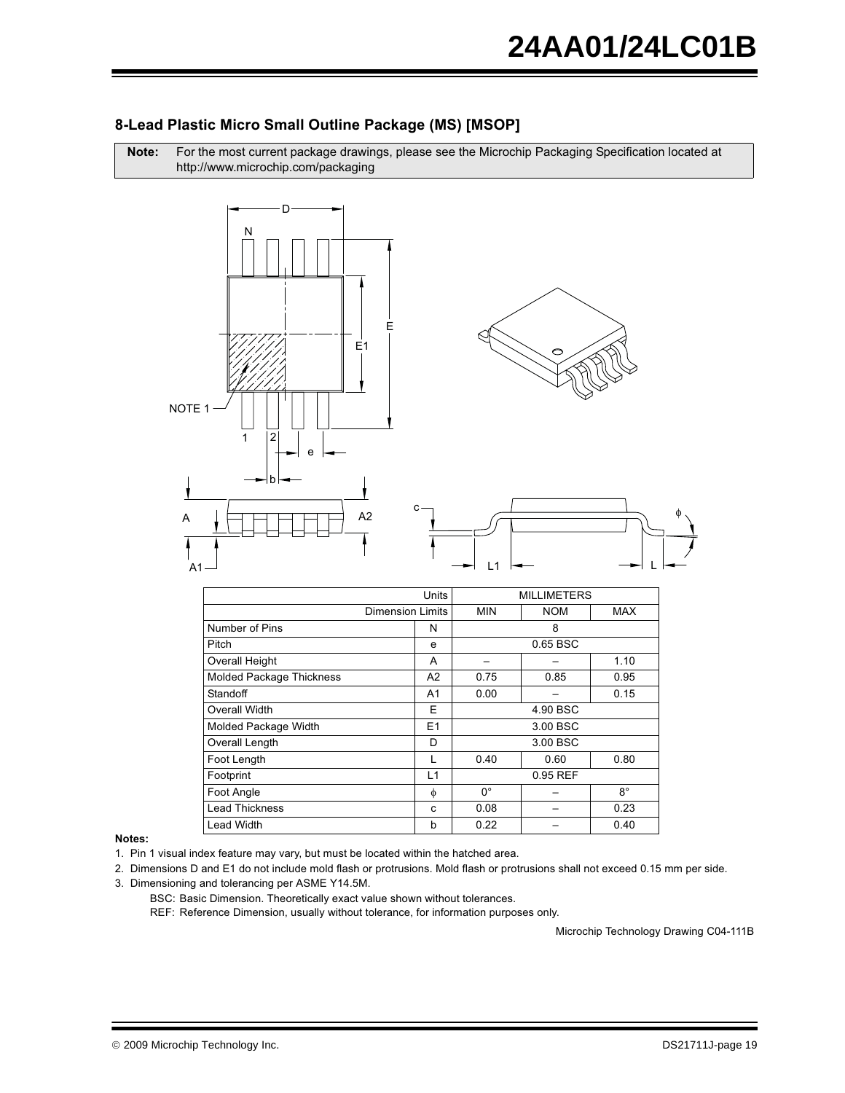

 $A2$ 

### 8-Lead Plastic Micro Small Outline Package (MS) [MSOP]

 $L1$ 

|                                 | Units                   |             | <b>MILLIMETERS</b> |             |
|---------------------------------|-------------------------|-------------|--------------------|-------------|
|                                 | <b>Dimension Limits</b> | <b>MIN</b>  | <b>NOM</b>         | MAX         |
| Number of Pins                  | N                       |             | 8                  |             |
| Pitch                           | e                       |             | 0.65 BSC           |             |
| <b>Overall Height</b>           | A                       |             |                    | 1.10        |
| <b>Molded Package Thickness</b> | A2                      | 0.75        | 0.85               | 0.95        |
| Standoff                        | A1                      | 0.00        |                    | 0.15        |
| Overall Width                   | E                       |             | 4.90 BSC           |             |
| Molded Package Width            | E <sub>1</sub>          |             | 3.00 BSC           |             |
| Overall Length                  | D                       |             | 3.00 BSC           |             |
| Foot Length                     | L                       | 0.40        | 0.60               | 0.80        |
| Footprint                       | L1                      |             | 0.95 REF           |             |
| Foot Angle                      | φ                       | $0^{\circ}$ |                    | $8^{\circ}$ |
| <b>Lead Thickness</b>           | C                       | 0.08        |                    | 0.23        |
| <b>Lead Width</b>               | b                       | 0.22        |                    | 0.40        |

### Notes:

1. Pin 1 visual index feature may vary, but must be located within the hatched area.

2. Dimensions D and E1 do not include mold flash or protrusions. Mold flash or protrusions shall not exceed 0.15 mm per side.

- 3. Dimensioning and tolerancing per ASME Y14.5M.
	- BSC: Basic Dimension. Theoretically exact value shown without tolerances.

REF: Reference Dimension, usually without tolerance, for information purposes only.

Microchip Technology Drawing C04-111B

А

 $\Delta$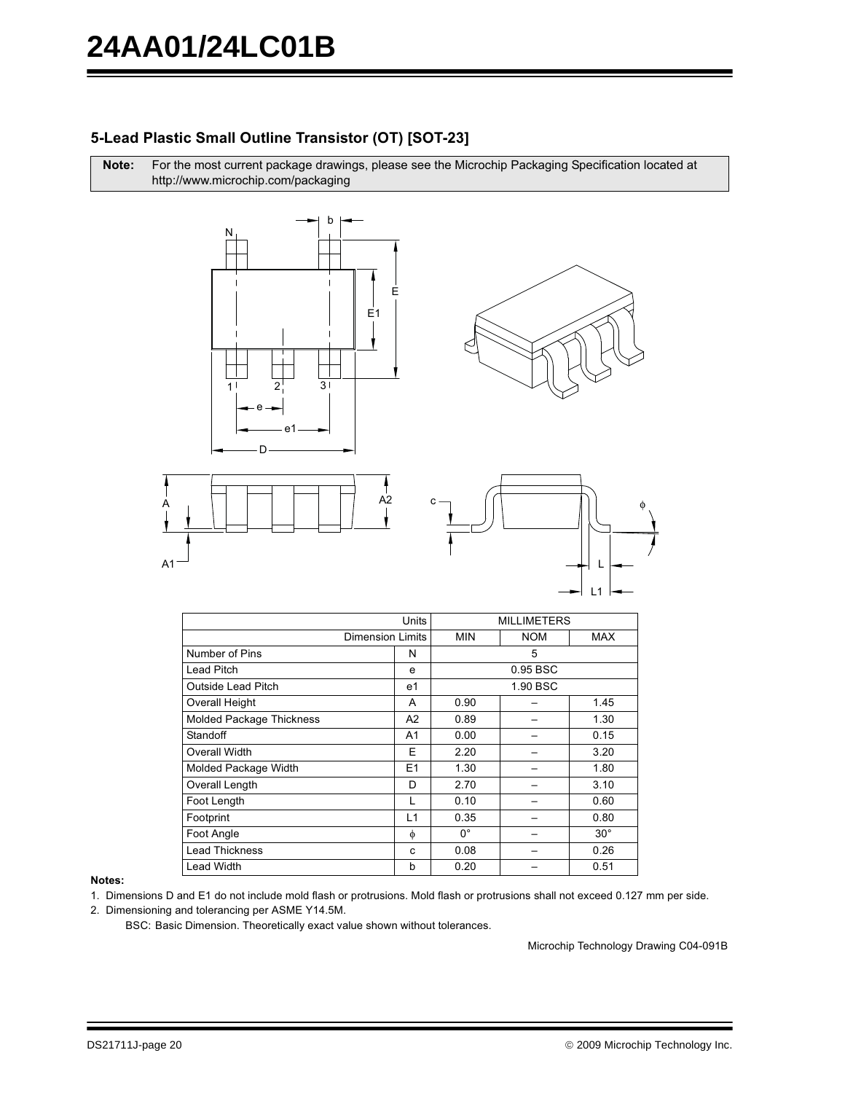## 5-Lead Plastic Small Outline Transistor (OT) [SOT-23]

Note: For the most current package drawings, please see the Microchip Packaging Specification located at http://www.microchip.com/packaging







|                           | Units                   |             | <b>MILLIMETERS</b> |              |
|---------------------------|-------------------------|-------------|--------------------|--------------|
|                           | <b>Dimension Limits</b> | <b>MIN</b>  | <b>NOM</b>         | MAX          |
| Number of Pins            | N                       |             | 5                  |              |
| <b>Lead Pitch</b>         | e                       |             | 0.95 BSC           |              |
| <b>Outside Lead Pitch</b> | e1                      |             | 1.90 BSC           |              |
| <b>Overall Height</b>     | A                       | 0.90        |                    | 1.45         |
| Molded Package Thickness  | A2                      | 0.89        |                    | 1.30         |
| Standoff                  | A1                      | 0.00        |                    | 0.15         |
| Overall Width             | Е                       | 2.20        |                    | 3.20         |
| Molded Package Width      | E1                      | 1.30        |                    | 1.80         |
| Overall Length            | D                       | 2.70        |                    | 3.10         |
| Foot Length               | L                       | 0.10        |                    | 0.60         |
| Footprint                 | L1                      | 0.35        |                    | 0.80         |
| Foot Angle                | φ                       | $0^{\circ}$ |                    | $30^{\circ}$ |
| <b>Lead Thickness</b>     | C                       | 0.08        |                    | 0.26         |
| <b>Lead Width</b>         | b                       | 0.20        |                    | 0.51         |

### Notes:

1. Dimensions D and E1 do not include mold flash or protrusions. Mold flash or protrusions shall not exceed 0.127 mm per side.

2. Dimensioning and tolerancing per ASME Y14.5M.

BSC: Basic Dimension. Theoretically exact value shown without tolerances.

Microchip Technology Drawing C04-091B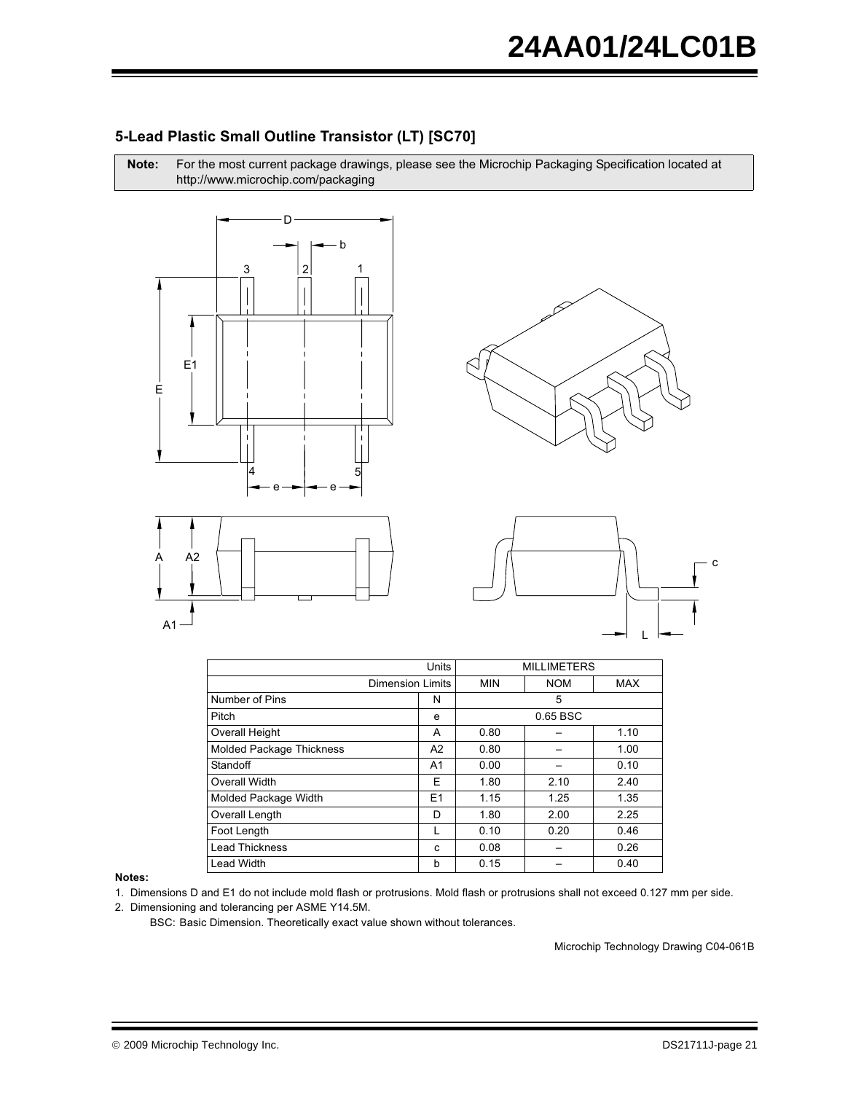

Note: For the most current package drawings, please see the Microchip Packaging Specification located at http://www.microchip.com/packaging









|                                 | Units                   |            | <b>MILLIMETERS</b> |            |
|---------------------------------|-------------------------|------------|--------------------|------------|
|                                 | <b>Dimension Limits</b> | <b>MIN</b> | <b>NOM</b>         | <b>MAX</b> |
| Number of Pins                  | N                       |            | 5                  |            |
| Pitch                           | e                       |            | 0.65 BSC           |            |
| <b>Overall Height</b>           | A                       | 0.80       |                    | 1.10       |
| <b>Molded Package Thickness</b> | A2                      | 0.80       |                    | 1.00       |
| Standoff                        | A1                      | 0.00       |                    | 0.10       |
| Overall Width                   | Е                       | 1.80       | 2.10               | 2.40       |
| Molded Package Width            | E1                      | 1.15       | 1.25               | 1.35       |
| Overall Length                  | D                       | 1.80       | 2.00               | 2.25       |
| Foot Length                     |                         | 0.10       | 0.20               | 0.46       |
| <b>Lead Thickness</b>           | C                       | 0.08       |                    | 0.26       |
| <b>Lead Width</b>               | b                       | 0.15       |                    | 0.40       |

Notes:

1. Dimensions D and E1 do not include mold flash or protrusions. Mold flash or protrusions shall not exceed 0.127 mm per side.

2. Dimensioning and tolerancing per ASME Y14.5M.

BSC: Basic Dimension. Theoretically exact value shown without tolerances.

Microchip Technology Drawing C04-061B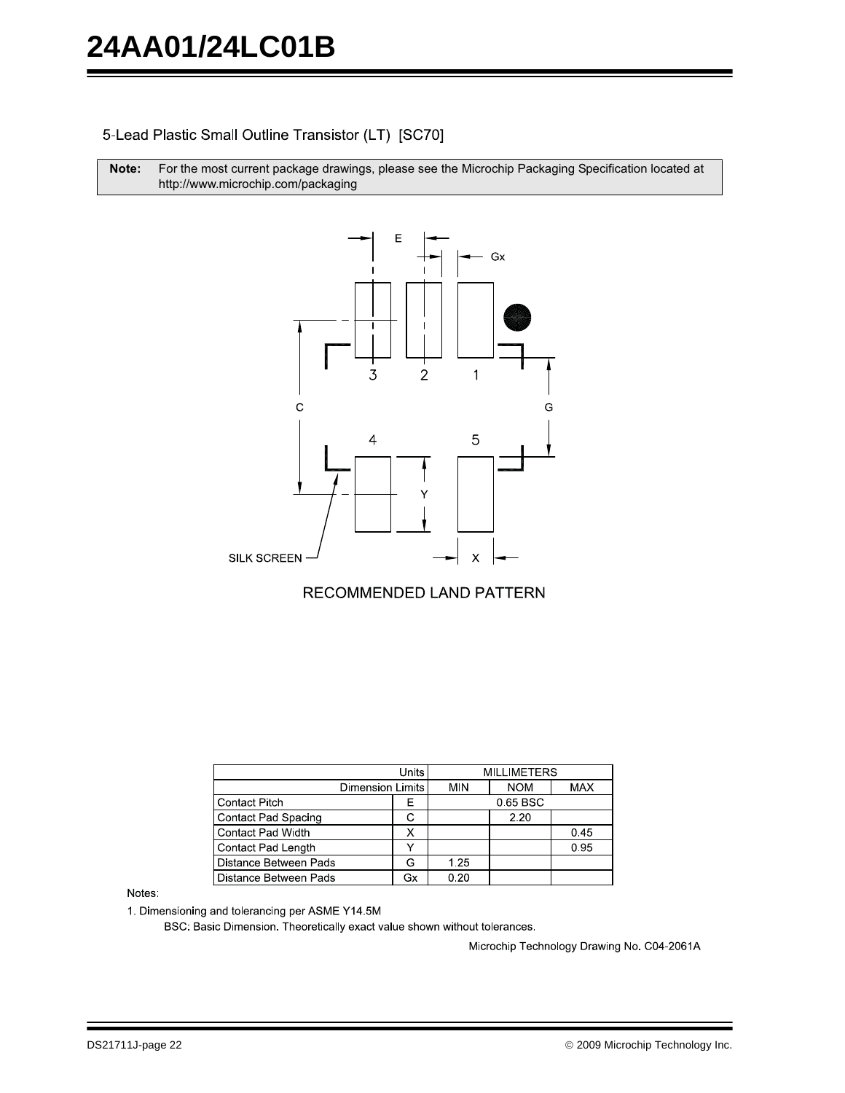### 5-Lead Plastic Small Outline Transistor (LT) [SC70]

Note: For the most current package drawings, please see the Microchip Packaging Specification located at http://www.microchip.com/packaging



### RECOMMENDED LAND PATTERN

| Units                    |    |      | <b>MILLIMETERS</b> |            |
|--------------------------|----|------|--------------------|------------|
| <b>Dimension Limits</b>  |    | MIN  | <b>NOM</b>         | <b>MAX</b> |
| <b>Contact Pitch</b>     | Е  |      | 0.65 BSC           |            |
| Contact Pad Spacing      |    |      | 2.20               |            |
| <b>Contact Pad Width</b> |    |      |                    | 0.45       |
| Contact Pad Length       |    |      |                    | 0.95       |
| Distance Between Pads    | G  | 1.25 |                    |            |
| Distance Between Pads    | Gx | 0.20 |                    |            |

Notes:

1. Dimensioning and tolerancing per ASME Y14.5M

BSC: Basic Dimension. Theoretically exact value shown without tolerances.

Microchip Technology Drawing No. C04-2061A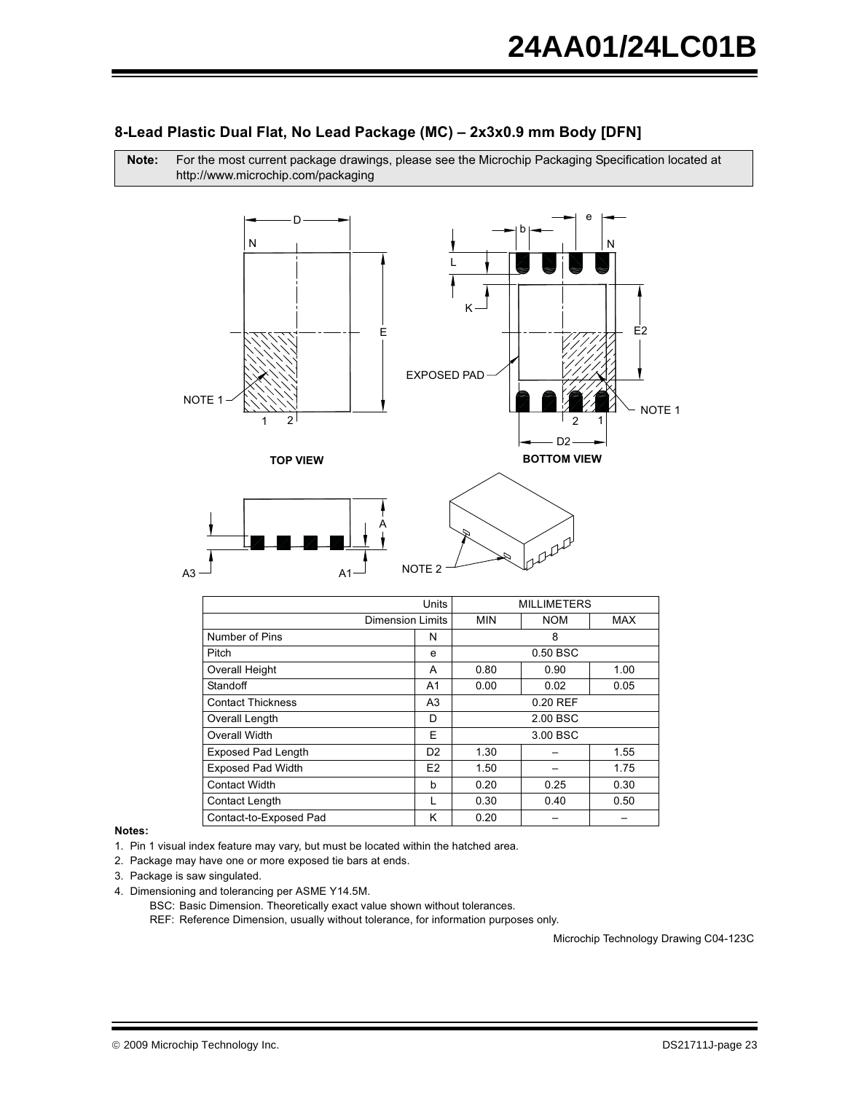### 8-Lead Plastic Dual Flat, No Lead Package (MC) - 2x3x0.9 mm Body [DFN]

Note: For the most current package drawings, please see the Microchip Packaging Specification located at http://www.microchip.com/packaging



|                           | <b>Units</b>   |            | <b>MILLIMETERS</b> |      |
|---------------------------|----------------|------------|--------------------|------|
| <b>Dimension Limits</b>   |                | <b>MIN</b> | <b>NOM</b>         | MAX  |
| Number of Pins            | N              |            | 8                  |      |
| Pitch                     | e              |            | $0.50$ BSC         |      |
| Overall Height            | A              | 0.80       | 0.90               | 1.00 |
| Standoff                  | A1             | 0.00       | 0.02               | 0.05 |
| <b>Contact Thickness</b>  | A <sub>3</sub> | $0.20$ REF |                    |      |
| Overall Length            | D              | 2.00 BSC   |                    |      |
| Overall Width             | F              |            | 3.00 BSC           |      |
| <b>Exposed Pad Length</b> | D <sub>2</sub> | 1.30       |                    | 1.55 |
| <b>Exposed Pad Width</b>  | E <sub>2</sub> | 1.50       |                    | 1.75 |
| Contact Width             | h              | 0.20       | 0.25               | 0.30 |
| Contact Length            |                | 0.30       | 0.40               | 0.50 |
| Contact-to-Exposed Pad    | κ              | 0.20       |                    |      |

### Notes:

1. Pin 1 visual index feature may vary, but must be located within the hatched area.

2. Package may have one or more exposed tie bars at ends.

- 3. Package is saw singulated.
- 4. Dimensioning and tolerancing per ASME Y14.5M.

BSC: Basic Dimension. Theoretically exact value shown without tolerances.

REF: Reference Dimension, usually without tolerance, for information purposes only.

Microchip Technology Drawing C04-123C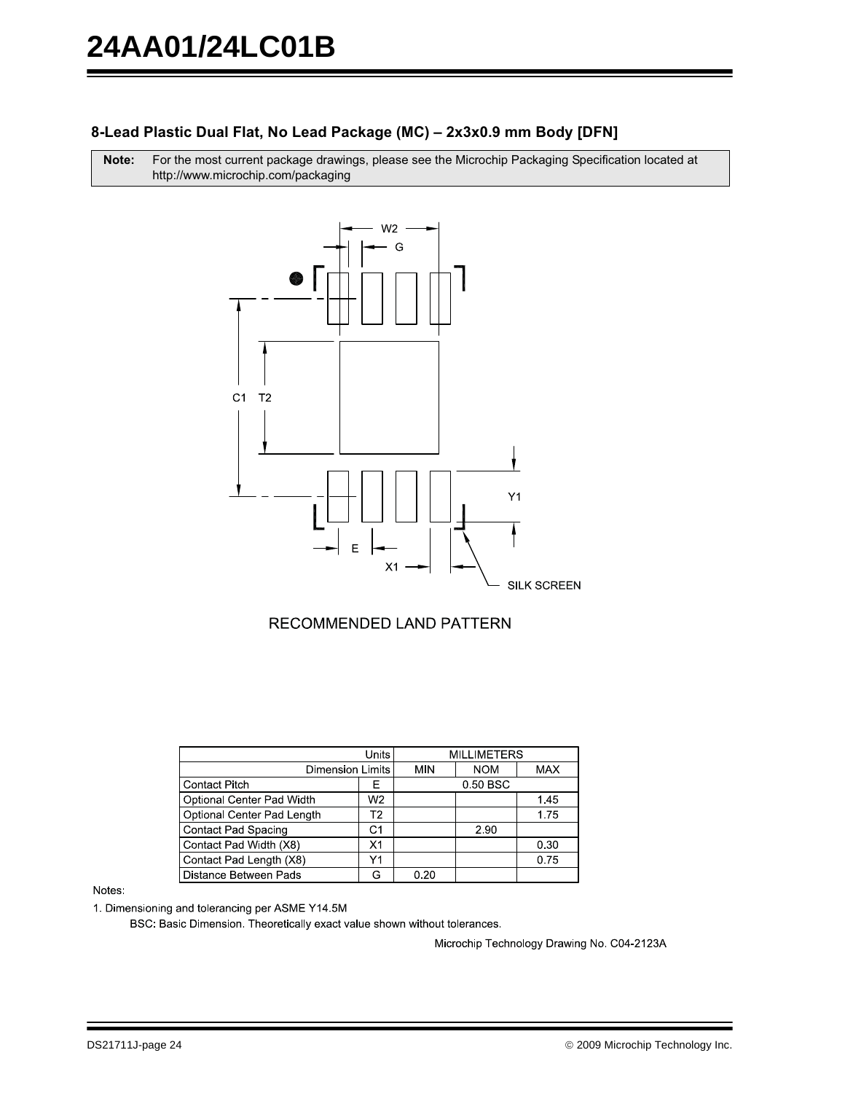### 8-Lead Plastic Dual Flat, No Lead Package (MC) - 2x3x0.9 mm Body [DFN]

For the most current package drawings, please see the Microchip Packaging Specification located at Note: http://www.microchip.com/packaging



### RECOMMENDED LAND PATTERN

| Units                      |                |            | <b>MILLIMETERS</b> |            |
|----------------------------|----------------|------------|--------------------|------------|
|                            |                |            |                    |            |
| <b>Dimension Limits</b>    |                | <b>MIN</b> | <b>NOM</b>         | <b>MAX</b> |
| <b>Contact Pitch</b>       | F              |            | 0.50 BSC           |            |
| Optional Center Pad Width  | W <sub>2</sub> |            |                    | 1.45       |
| Optional Center Pad Length | Т2             |            |                    | 1.75       |
| <b>Contact Pad Spacing</b> | C1             |            | 2.90               |            |
| Contact Pad Width (X8)     | X1             |            |                    | 0.30       |
| Contact Pad Length (X8)    | Y1             |            |                    | 0.75       |
| Distance Between Pads      | ൨              | 0.20       |                    |            |

### Notes:

1. Dimensioning and tolerancing per ASME Y14.5M

BSC: Basic Dimension. Theoretically exact value shown without tolerances.

Microchip Technology Drawing No. C04-2123A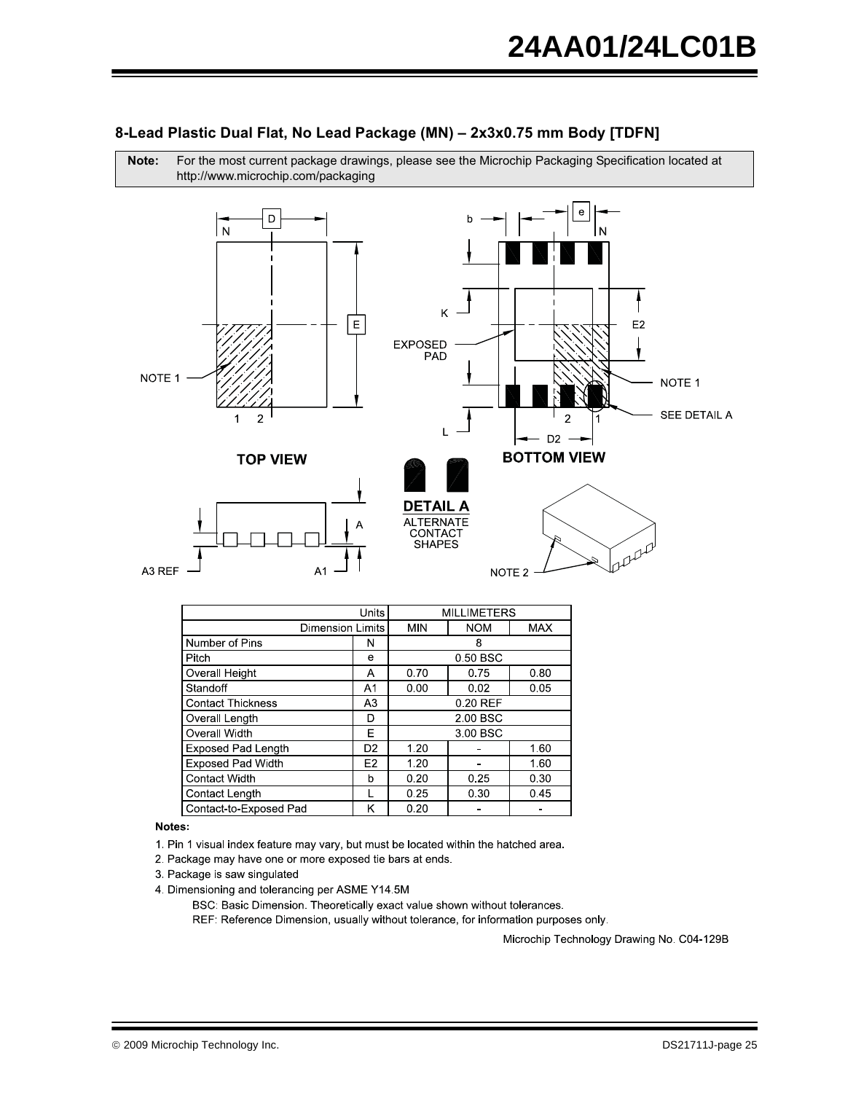

For the most current package drawings, please see the Microchip Packaging Specification located at

| 8-Lead Plastic Dual Flat, No Lead Package (MN) - 2x3x0.75 mm Body [TDFN] |  |  |
|--------------------------------------------------------------------------|--|--|
|--------------------------------------------------------------------------|--|--|

|                           | Units          |            | MILLIMETERS |            |
|---------------------------|----------------|------------|-------------|------------|
| <b>Dimension Limits</b>   |                | <b>MIN</b> | <b>NOM</b>  | <b>MAX</b> |
| Number of Pins            | N              |            | 8           |            |
| Pitch                     | e              |            | 0.50 BSC    |            |
| Overall Height            | Α              | 0.70       | 0.75        | 0.80       |
| Standoff                  | A1             | 0.00       | 0.02        | 0.05       |
| <b>Contact Thickness</b>  | A3             | 0.20 REF   |             |            |
| Overall Length            | D              | 2.00 BSC   |             |            |
| Overall Width             | E              |            | 3.00 BSC    |            |
| <b>Exposed Pad Length</b> | D <sub>2</sub> | 1.20       |             | 1.60       |
| <b>Exposed Pad Width</b>  | E <sub>2</sub> | 1.20       |             | 1.60       |
| <b>Contact Width</b>      | b              | 0.20       | 0.25        | 0.30       |
| Contact Length            |                | 0.25       | 0.30        | 0.45       |
| Contact-to-Exposed Pad    | κ              | 0.20       |             |            |

### Notes:

Note:

1. Pin 1 visual index feature may vary, but must be located within the hatched area.

- 2. Package may have one or more exposed tie bars at ends.
- 3. Package is saw singulated

4. Dimensioning and tolerancing per ASME Y14.5M

BSC: Basic Dimension. Theoretically exact value shown without tolerances.

REF: Reference Dimension, usually without tolerance, for information purposes only.

Microchip Technology Drawing No. C04-129B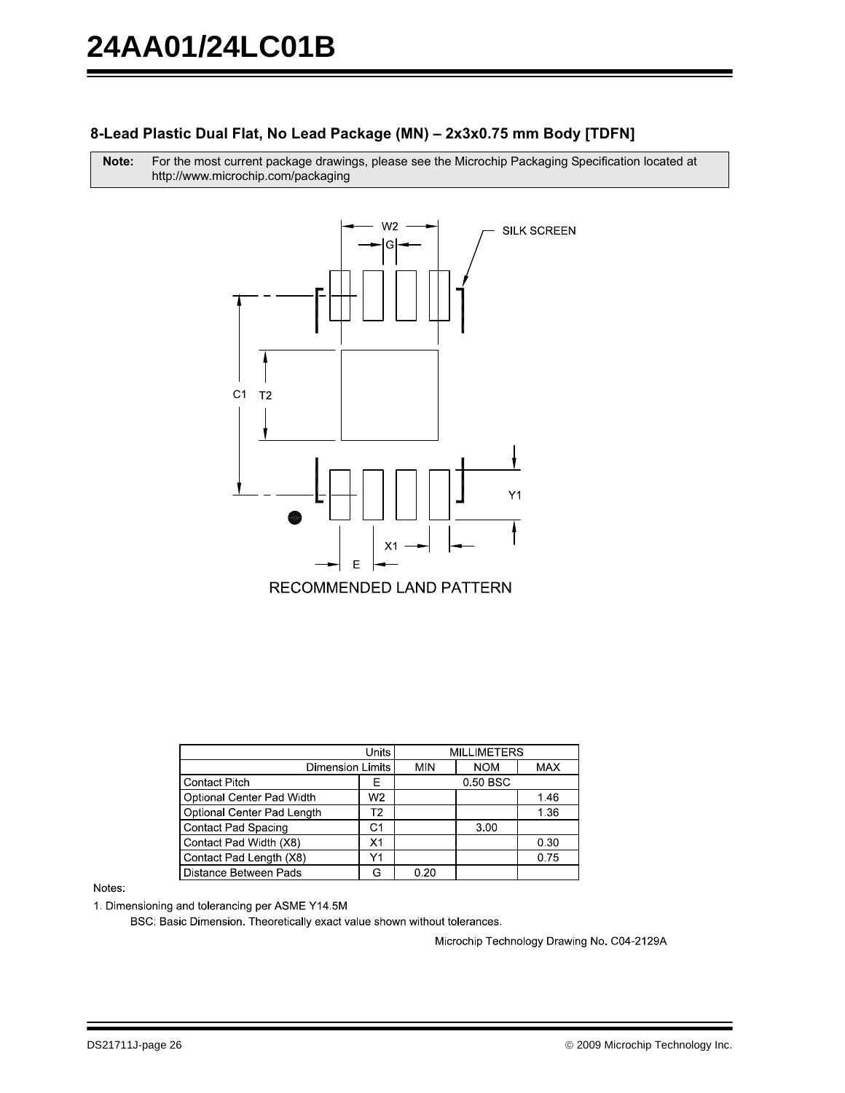### 8-Lead Plastic Dual Flat, No Lead Package (MN) - 2x3x0.75 mm Body [TDFN]

Note: For the most current package drawings, please see the Microchip Packaging Specification located at http://www.microchip.com/packaging



| Units                      |                |            | <b>MILLIMETERS</b> |            |
|----------------------------|----------------|------------|--------------------|------------|
| <b>Dimension Limits</b>    |                | <b>MIN</b> | <b>NOM</b>         | <b>MAX</b> |
| <b>Contact Pitch</b>       | F              |            | 0.50 BSC           |            |
| Optional Center Pad Width  | W <sub>2</sub> |            |                    | 1.46       |
| Optional Center Pad Length | T <sub>2</sub> |            |                    | 1.36       |
| <b>Contact Pad Spacing</b> | C1             |            | 3.00               |            |
| Contact Pad Width (X8)     | X <sub>1</sub> |            |                    | 0.30       |
| Contact Pad Length (X8)    | Υ1             |            |                    | 0.75       |
| Distance Between Pads      | G              | 0.20       |                    |            |

### Notes:

1. Dimensioning and tolerancing per ASME Y14.5M

BSC: Basic Dimension. Theoretically exact value shown without tolerances.

Microchip Technology Drawing No. C04-2129A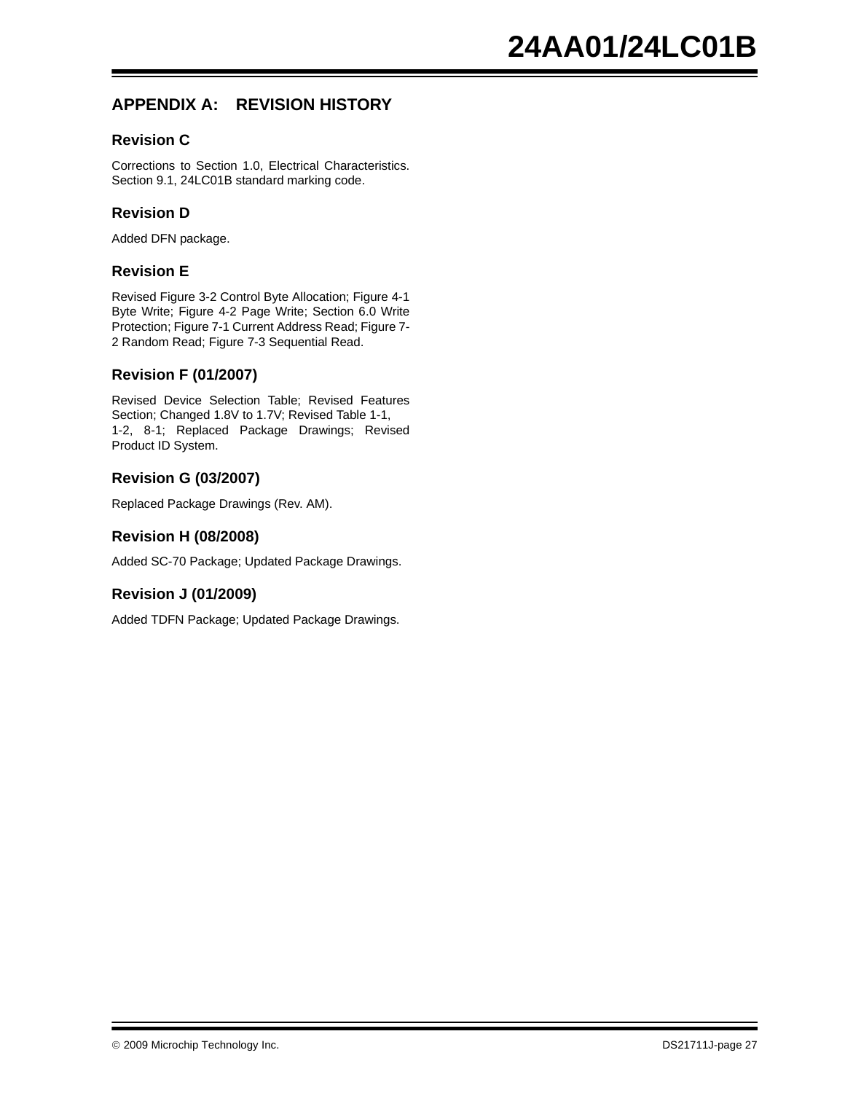# **APPENDIX A: REVISION HISTORY**

### **Revision C**

Corrections to Section 1.0, Electrical Characteristics. Section 9.1, 24LC01B standard marking code.

### **Revision D**

Added DFN package.

### **Revision E**

Revised Figure 3-2 Control Byte Allocation; Figure 4-1 Byte Write; Figure 4-2 Page Write; Section 6.0 Write Protection; Figure 7-1 Current Address Read; Figure 7- 2 Random Read; Figure 7-3 Sequential Read.

### **Revision F (01/2007)**

Revised Device Selection Table; Revised Features Section; Changed 1.8V to 1.7V; Revised Table 1-1, 1-2, 8-1; Replaced Package Drawings; Revised Product ID System.

### **Revision G (03/2007)**

Replaced Package Drawings (Rev. AM).

### **Revision H (08/2008)**

Added SC-70 Package; Updated Package Drawings.

### **Revision J (01/2009)**

Added TDFN Package; Updated Package Drawings.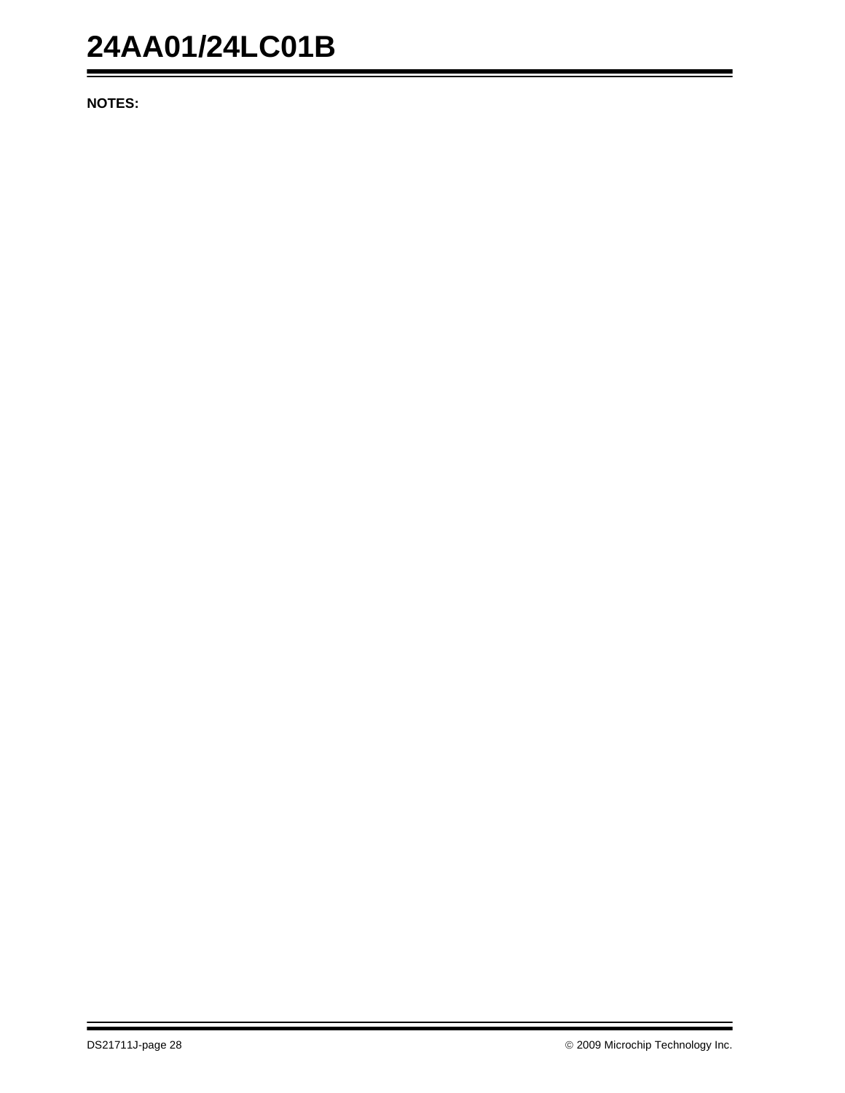# **24AA01/24LC01B**

**NOTES:**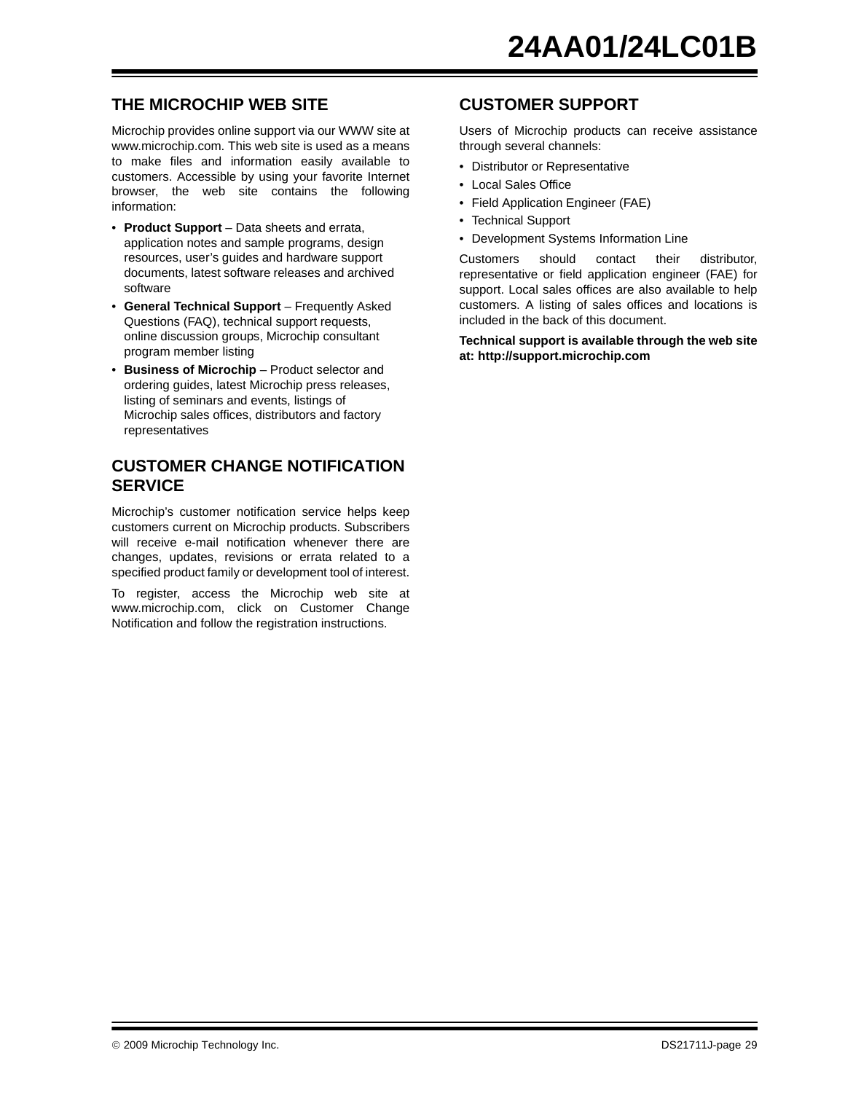# **THE MICROCHIP WEB SITE**

Microchip provides online support via our WWW site at www.microchip.com. This web site is used as a means to make files and information easily available to customers. Accessible by using your favorite Internet browser, the web site contains the following information:

- **Product Support** Data sheets and errata, application notes and sample programs, design resources, user's guides and hardware support documents, latest software releases and archived software
- **General Technical Support** Frequently Asked Questions (FAQ), technical support requests, online discussion groups, Microchip consultant program member listing
- **Business of Microchip** Product selector and ordering guides, latest Microchip press releases, listing of seminars and events, listings of Microchip sales offices, distributors and factory representatives

## **CUSTOMER CHANGE NOTIFICATION SERVICE**

Microchip's customer notification service helps keep customers current on Microchip products. Subscribers will receive e-mail notification whenever there are changes, updates, revisions or errata related to a specified product family or development tool of interest.

To register, access the Microchip web site at www.microchip.com, click on Customer Change Notification and follow the registration instructions.

## **CUSTOMER SUPPORT**

Users of Microchip products can receive assistance through several channels:

- Distributor or Representative
- Local Sales Office
- Field Application Engineer (FAE)
- Technical Support
- Development Systems Information Line

Customers should contact their distributor, representative or field application engineer (FAE) for support. Local sales offices are also available to help customers. A listing of sales offices and locations is included in the back of this document.

**Technical support is available through the web site at: http://support.microchip.com**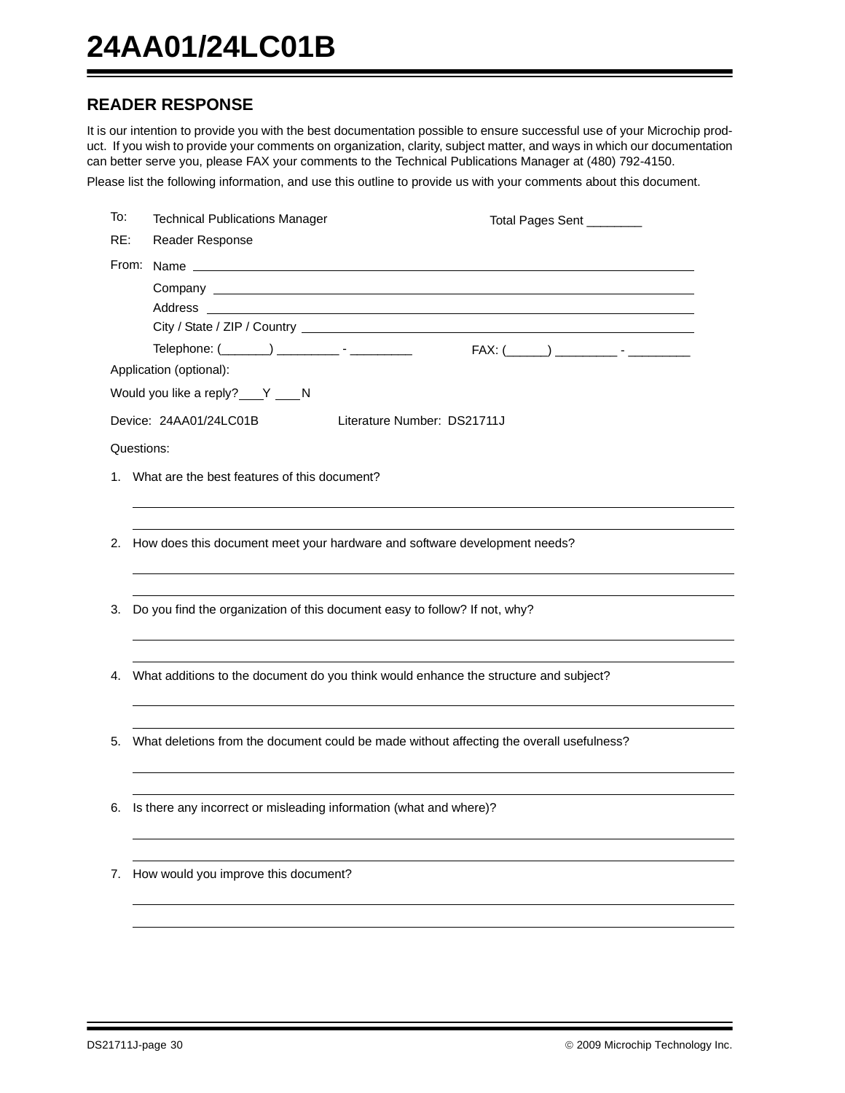# **READER RESPONSE**

It is our intention to provide you with the best documentation possible to ensure successful use of your Microchip product. If you wish to provide your comments on organization, clarity, subject matter, and ways in which our documentation can better serve you, please FAX your comments to the Technical Publications Manager at (480) 792-4150.

Please list the following information, and use this outline to provide us with your comments about this document.

| To: | <b>Technical Publications Manager</b>                                 | Total Pages Sent ________                                                                |
|-----|-----------------------------------------------------------------------|------------------------------------------------------------------------------------------|
| RE: | Reader Response                                                       |                                                                                          |
|     |                                                                       |                                                                                          |
|     |                                                                       |                                                                                          |
|     |                                                                       |                                                                                          |
|     |                                                                       |                                                                                          |
|     | Telephone: (________) ___________ - ___________                       | FAX: (_______) ___________ - ___________                                                 |
|     | Application (optional):                                               |                                                                                          |
|     | Would you like a reply? ___ Y ____ N                                  |                                                                                          |
|     | Device: 24AA01/24LC01B                                                | Literature Number: DS21711J                                                              |
|     | Questions:                                                            |                                                                                          |
|     | 1. What are the best features of this document?                       |                                                                                          |
|     |                                                                       |                                                                                          |
|     |                                                                       |                                                                                          |
|     |                                                                       | 2. How does this document meet your hardware and software development needs?             |
|     |                                                                       |                                                                                          |
| 3.  |                                                                       | Do you find the organization of this document easy to follow? If not, why?               |
|     |                                                                       |                                                                                          |
|     |                                                                       |                                                                                          |
|     |                                                                       | 4. What additions to the document do you think would enhance the structure and subject?  |
|     |                                                                       |                                                                                          |
|     |                                                                       |                                                                                          |
| 5.  |                                                                       | What deletions from the document could be made without affecting the overall usefulness? |
|     |                                                                       |                                                                                          |
|     |                                                                       |                                                                                          |
|     | 6. Is there any incorrect or misleading information (what and where)? |                                                                                          |
|     |                                                                       |                                                                                          |
|     | 7. How would you improve this document?                               |                                                                                          |
|     |                                                                       |                                                                                          |
|     |                                                                       |                                                                                          |
|     |                                                                       |                                                                                          |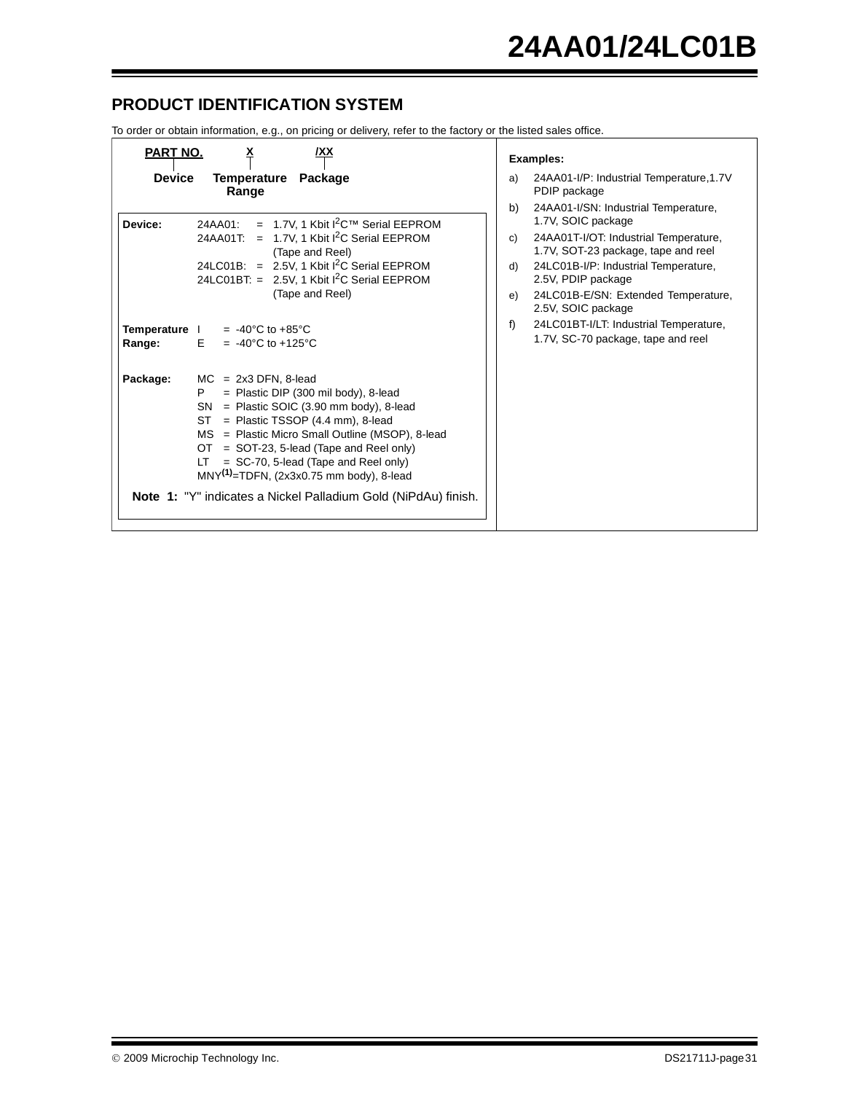# **PRODUCT IDENTIFICATION SYSTEM**

To order or obtain information, e.g., on pricing or delivery, refer to the factory or the listed sales office.

| <b>PART NO.</b>         | <u>x</u><br>/XX                                                                                                                                                                                                                                                                                                                                                                                                                                        | <b>Examples:</b>                                                                                                                                                                                                                                |
|-------------------------|--------------------------------------------------------------------------------------------------------------------------------------------------------------------------------------------------------------------------------------------------------------------------------------------------------------------------------------------------------------------------------------------------------------------------------------------------------|-------------------------------------------------------------------------------------------------------------------------------------------------------------------------------------------------------------------------------------------------|
| <b>Device</b>           | Temperature Package<br>Range                                                                                                                                                                                                                                                                                                                                                                                                                           | 24AA01-I/P: Industrial Temperature, 1.7V<br>a)<br>PDIP package<br>b)<br>24AA01-I/SN: Industrial Temperature,                                                                                                                                    |
| Device:                 | $= 1.7V$ , 1 Kbit $1^2C$ <sup>TM</sup> Serial EEPROM<br>24AA01:<br>24AA01T: = 1.7V, 1 Kbit $I^2C$ Serial EEPROM<br>(Tape and Reel)<br>24LC01B: = $2.5V$ , 1 Kbit $I^2C$ Serial EEPROM<br>24LC01BT: = $2.5V$ , 1 Kbit $1^2C$ Serial EEPROM<br>(Tape and Reel)                                                                                                                                                                                           | 1.7V, SOIC package<br>24AA01T-I/OT: Industrial Temperature,<br>C)<br>1.7V, SOT-23 package, tape and reel<br>24LC01B-I/P: Industrial Temperature,<br>d)<br>2.5V, PDIP package<br>24LC01B-E/SN: Extended Temperature,<br>e)<br>2.5V, SOIC package |
| Temperature  <br>Range: | $= -40^{\circ}$ C to $+85^{\circ}$ C<br>E.<br>$= -40^{\circ}$ C to +125 °C                                                                                                                                                                                                                                                                                                                                                                             | 24LC01BT-I/LT: Industrial Temperature,<br>f<br>1.7V, SC-70 package, tape and reel                                                                                                                                                               |
| Package:                | $MC = 2x3$ DFN, 8-lead<br>$=$ Plastic DIP (300 mil body), 8-lead<br>P<br>$=$ Plastic SOIC (3.90 mm body), 8-lead<br><b>SN</b><br>$=$ Plastic TSSOP (4.4 mm), 8-lead<br>ST<br>MS = Plastic Micro Small Outline (MSOP), 8-lead<br>= SOT-23, 5-lead (Tape and Reel only)<br>OT.<br>$=$ SC-70, 5-lead (Tape and Reel only)<br>LT<br>$MNY^{(1)}$ =TDFN, (2x3x0.75 mm body), 8-lead<br><b>Note 1:</b> "Y" indicates a Nickel Palladium Gold (NiPdAu) finish. |                                                                                                                                                                                                                                                 |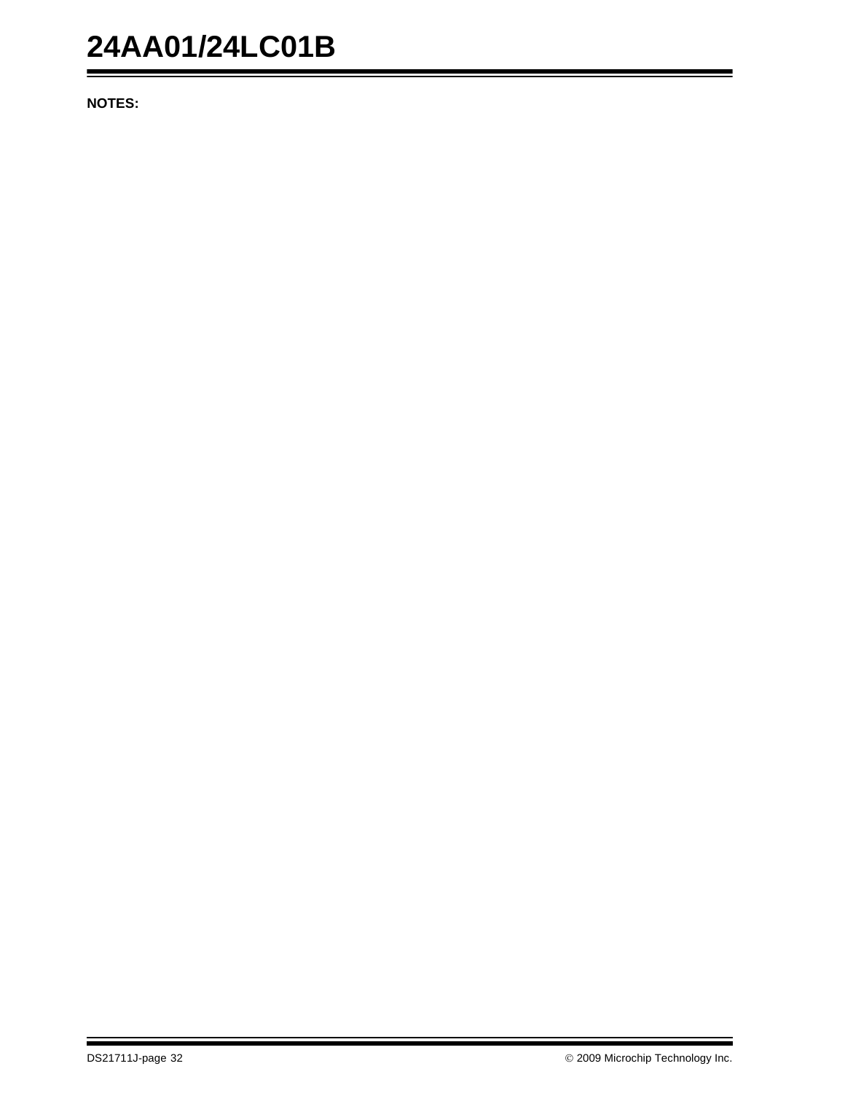# **24AA01/24LC01B**

**NOTES:**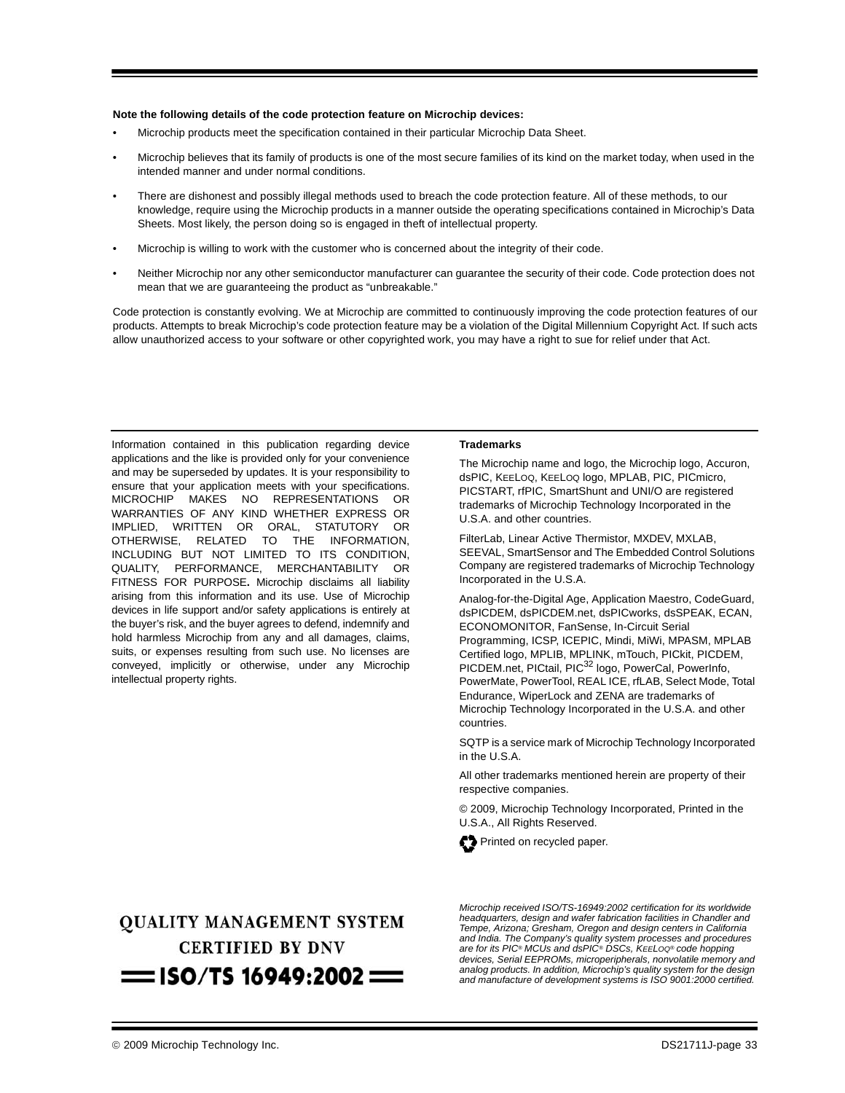### **Note the following details of the code protection feature on Microchip devices:**

- Microchip products meet the specification contained in their particular Microchip Data Sheet.
- Microchip believes that its family of products is one of the most secure families of its kind on the market today, when used in the intended manner and under normal conditions.
- There are dishonest and possibly illegal methods used to breach the code protection feature. All of these methods, to our knowledge, require using the Microchip products in a manner outside the operating specifications contained in Microchip's Data Sheets. Most likely, the person doing so is engaged in theft of intellectual property.
- Microchip is willing to work with the customer who is concerned about the integrity of their code.
- Neither Microchip nor any other semiconductor manufacturer can guarantee the security of their code. Code protection does not mean that we are guaranteeing the product as "unbreakable."

Code protection is constantly evolving. We at Microchip are committed to continuously improving the code protection features of our products. Attempts to break Microchip's code protection feature may be a violation of the Digital Millennium Copyright Act. If such acts allow unauthorized access to your software or other copyrighted work, you may have a right to sue for relief under that Act.

Information contained in this publication regarding device applications and the like is provided only for your convenience and may be superseded by updates. It is your responsibility to ensure that your application meets with your specifications. MICROCHIP MAKES NO REPRESENTATIONS OR WARRANTIES OF ANY KIND WHETHER EXPRESS OR IMPLIED, WRITTEN OR ORAL, STATUTORY OR OTHERWISE, RELATED TO THE INFORMATION, INCLUDING BUT NOT LIMITED TO ITS CONDITION, QUALITY, PERFORMANCE, MERCHANTABILITY OR FITNESS FOR PURPOSE**.** Microchip disclaims all liability arising from this information and its use. Use of Microchip devices in life support and/or safety applications is entirely at the buyer's risk, and the buyer agrees to defend, indemnify and hold harmless Microchip from any and all damages, claims, suits, or expenses resulting from such use. No licenses are conveyed, implicitly or otherwise, under any Microchip intellectual property rights.

### **Trademarks**

The Microchip name and logo, the Microchip logo, Accuron, dsPIC, KEELOQ, KEELOQ logo, MPLAB, PIC, PICmicro, PICSTART, rfPIC, SmartShunt and UNI/O are registered trademarks of Microchip Technology Incorporated in the U.S.A. and other countries.

FilterLab, Linear Active Thermistor, MXDEV, MXLAB, SEEVAL, SmartSensor and The Embedded Control Solutions Company are registered trademarks of Microchip Technology Incorporated in the U.S.A.

Analog-for-the-Digital Age, Application Maestro, CodeGuard, dsPICDEM, dsPICDEM.net, dsPICworks, dsSPEAK, ECAN, ECONOMONITOR, FanSense, In-Circuit Serial Programming, ICSP, ICEPIC, Mindi, MiWi, MPASM, MPLAB Certified logo, MPLIB, MPLINK, mTouch, PICkit, PICDEM, PICDEM.net, PICtail, PIC<sup>32</sup> logo, PowerCal, PowerInfo, PowerMate, PowerTool, REAL ICE, rfLAB, Select Mode, Total Endurance, WiperLock and ZENA are trademarks of Microchip Technology Incorporated in the U.S.A. and other countries.

SQTP is a service mark of Microchip Technology Incorporated in the U.S.A.

All other trademarks mentioned herein are property of their respective companies.

© 2009, Microchip Technology Incorporated, Printed in the U.S.A., All Rights Reserved.



# **QUALITY MANAGEMENT SYSTEM CERTIFIED BY DNV**  $=$  ISO/TS 16949:2002  $=$

*Microchip received ISO/TS-16949:2002 certification for its worldwide headquarters, design and wafer fabrication facilities in Chandler and Tempe, Arizona; Gresham, Oregon and design centers in California and India. The Company's quality system processes and procedures are for its PIC® MCUs and dsPIC® DSCs, KEELOQ® code hopping devices, Serial EEPROMs, microperipherals, nonvolatile memory and analog products. In addition, Microchip's quality system for the design and manufacture of development systems is ISO 9001:2000 certified.*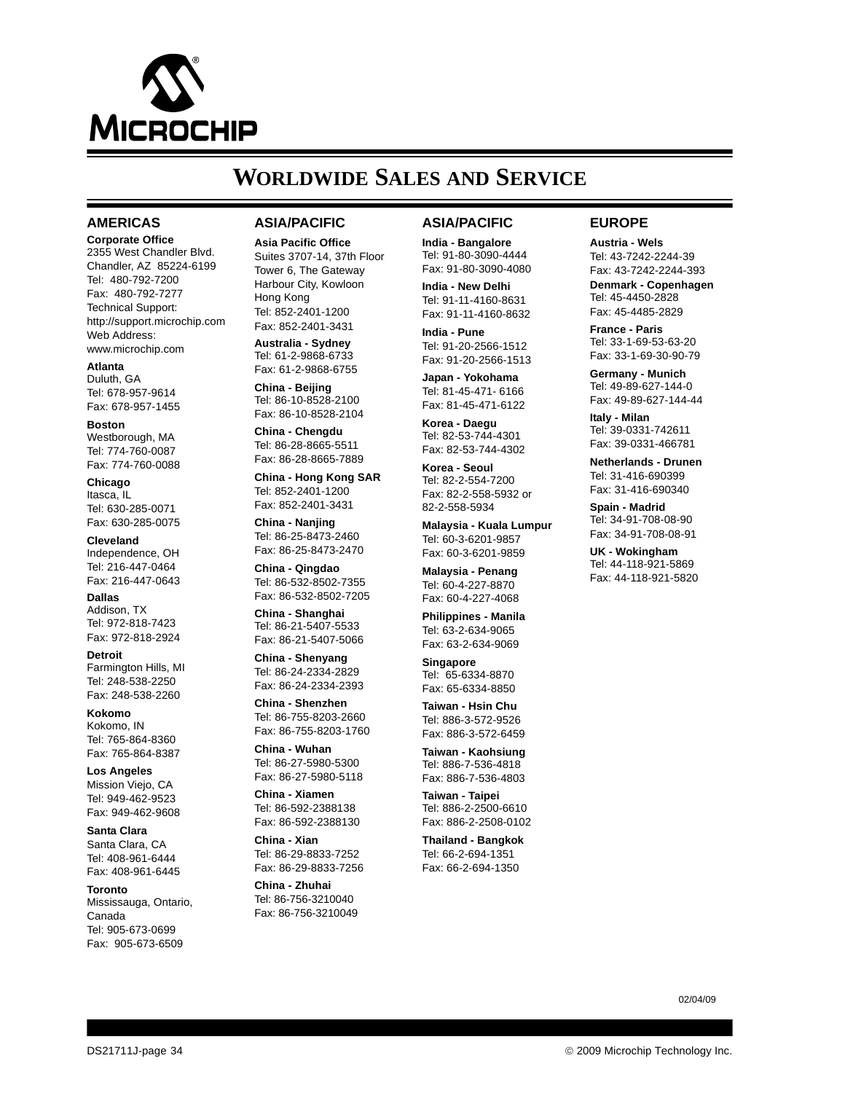

# **WORLDWIDE SALES AND SERVICE**

### **AMERICAS**

**Corporate Office** 2355 West Chandler Blvd. Chandler, AZ 85224-6199 Tel: 480-792-7200 Fax: 480-792-7277 Technical Support: http://support.microchip.com Web Address: www.microchip.com

**Atlanta** Duluth, GA Tel: 678-957-9614 Fax: 678-957-1455

**Boston** Westborough, MA Tel: 774-760-0087 Fax: 774-760-0088

**Chicago** Itasca, IL Tel: 630-285-0071 Fax: 630-285-0075

**Cleveland** Independence, OH Tel: 216-447-0464 Fax: 216-447-0643

**Dallas** Addison, TX Tel: 972-818-7423 Fax: 972-818-2924

**Detroit** Farmington Hills, MI Tel: 248-538-2250 Fax: 248-538-2260

**Kokomo** Kokomo, IN Tel: 765-864-8360 Fax: 765-864-8387

**Los Angeles** Mission Viejo, CA Tel: 949-462-9523 Fax: 949-462-9608

**Santa Clara** Santa Clara, CA Tel: 408-961-6444 Fax: 408-961-6445

**Toronto** Mississauga, Ontario, Canada Tel: 905-673-0699 Fax: 905-673-6509

### **ASIA/PACIFIC**

**Asia Pacific Office** Suites 3707-14, 37th Floor Tower 6, The Gateway Harbour City, Kowloon Hong Kong Tel: 852-2401-1200 Fax: 852-2401-3431

**Australia - Sydney** Tel: 61-2-9868-6733 Fax: 61-2-9868-6755

**China - Beijing** Tel: 86-10-8528-2100 Fax: 86-10-8528-2104

**China - Chengdu** Tel: 86-28-8665-5511 Fax: 86-28-8665-7889

**China - Hong Kong SAR** Tel: 852-2401-1200 Fax: 852-2401-3431

**China - Nanjing** Tel: 86-25-8473-2460

Fax: 86-25-8473-2470 **China - Qingdao**

Tel: 86-532-8502-7355 Fax: 86-532-8502-7205

**China - Shanghai** Tel: 86-21-5407-5533 Fax: 86-21-5407-5066

**China - Shenyang** Tel: 86-24-2334-2829 Fax: 86-24-2334-2393

**China - Shenzhen** Tel: 86-755-8203-2660 Fax: 86-755-8203-1760

**China - Wuhan** Tel: 86-27-5980-5300 Fax: 86-27-5980-5118

**China - Xiamen** Tel: 86-592-2388138 Fax: 86-592-2388130

**China - Xian** Tel: 86-29-8833-7252 Fax: 86-29-8833-7256

**China - Zhuhai** Tel: 86-756-3210040 Fax: 86-756-3210049

### **ASIA/PACIFIC**

**India - Bangalore** Tel: 91-80-3090-4444 Fax: 91-80-3090-4080

**India - New Delhi** Tel: 91-11-4160-8631 Fax: 91-11-4160-8632

**India - Pune** Tel: 91-20-2566-1512 Fax: 91-20-2566-1513

**Japan - Yokohama** Tel: 81-45-471- 6166 Fax: 81-45-471-6122

**Korea - Daegu** Tel: 82-53-744-4301 Fax: 82-53-744-4302

**Korea - Seoul** Tel: 82-2-554-7200 Fax: 82-2-558-5932 or 82-2-558-5934

**Malaysia - Kuala Lumpur** Tel: 60-3-6201-9857 Fax: 60-3-6201-9859

**Malaysia - Penang** Tel: 60-4-227-8870 Fax: 60-4-227-4068

**Philippines - Manila** Tel: 63-2-634-9065 Fax: 63-2-634-9069

**Singapore** Tel: 65-6334-8870 Fax: 65-6334-8850

**Taiwan - Hsin Chu** Tel: 886-3-572-9526 Fax: 886-3-572-6459

**Taiwan - Kaohsiung** Tel: 886-7-536-4818 Fax: 886-7-536-4803

**Taiwan - Taipei** Tel: 886-2-2500-6610 Fax: 886-2-2508-0102

**Thailand - Bangkok** Tel: 66-2-694-1351 Fax: 66-2-694-1350

### **EUROPE**

**Austria - Wels** Tel: 43-7242-2244-39 Fax: 43-7242-2244-393 **Denmark - Copenhagen** Tel: 45-4450-2828 Fax: 45-4485-2829

**France - Paris** Tel: 33-1-69-53-63-20 Fax: 33-1-69-30-90-79

**Germany - Munich** Tel: 49-89-627-144-0 Fax: 49-89-627-144-44

**Italy - Milan**  Tel: 39-0331-742611 Fax: 39-0331-466781

**Netherlands - Drunen** Tel: 31-416-690399 Fax: 31-416-690340

**Spain - Madrid** Tel: 34-91-708-08-90 Fax: 34-91-708-08-91

**UK - Wokingham** Tel: 44-118-921-5869 Fax: 44-118-921-5820